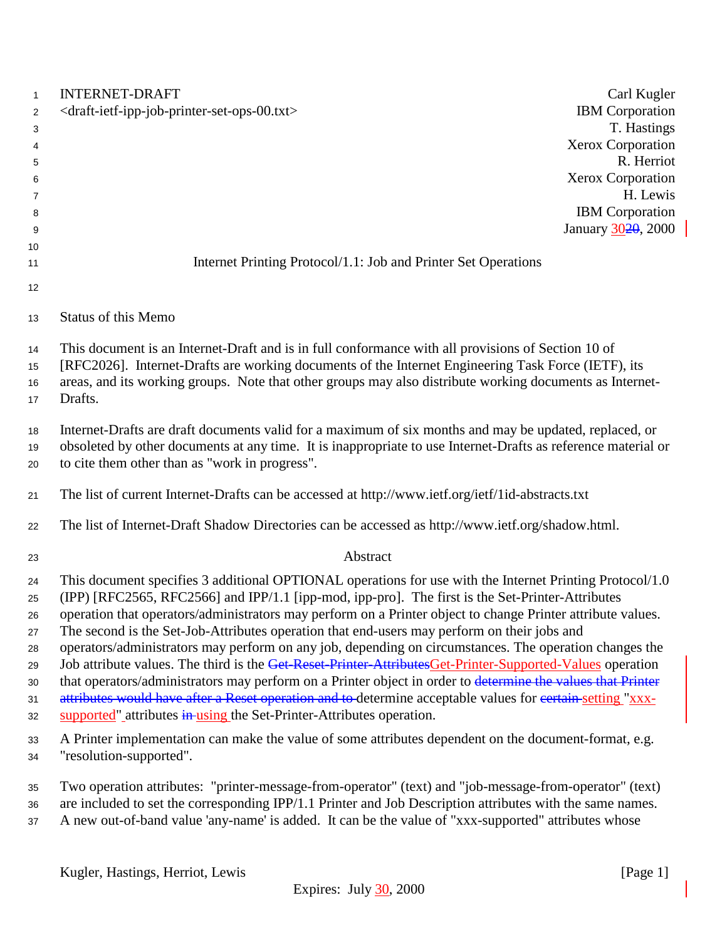| $\mathbf{1}$ | <b>INTERNET-DRAFT</b>                                                                                                                                                                                               | Carl Kugler                        |
|--------------|---------------------------------------------------------------------------------------------------------------------------------------------------------------------------------------------------------------------|------------------------------------|
| 2            | <draft-ietf-ipp-job-printer-set-ops-00.txt></draft-ietf-ipp-job-printer-set-ops-00.txt>                                                                                                                             | <b>IBM</b> Corporation             |
| 3            |                                                                                                                                                                                                                     | T. Hastings                        |
| 4            |                                                                                                                                                                                                                     | <b>Xerox Corporation</b>           |
| 5            |                                                                                                                                                                                                                     | R. Herriot                         |
| 6            |                                                                                                                                                                                                                     | <b>Xerox Corporation</b>           |
| 7            |                                                                                                                                                                                                                     | H. Lewis<br><b>IBM</b> Corporation |
| 8<br>9       |                                                                                                                                                                                                                     | January 3020, 2000                 |
| 10           |                                                                                                                                                                                                                     |                                    |
| 11           | Internet Printing Protocol/1.1: Job and Printer Set Operations                                                                                                                                                      |                                    |
|              |                                                                                                                                                                                                                     |                                    |
| 12           |                                                                                                                                                                                                                     |                                    |
| 13           | <b>Status of this Memo</b>                                                                                                                                                                                          |                                    |
| 14           | This document is an Internet-Draft and is in full conformance with all provisions of Section 10 of                                                                                                                  |                                    |
| 15           | [RFC2026]. Internet-Drafts are working documents of the Internet Engineering Task Force (IETF), its                                                                                                                 |                                    |
| 16           | areas, and its working groups. Note that other groups may also distribute working documents as Internet-                                                                                                            |                                    |
| 17           | Drafts.                                                                                                                                                                                                             |                                    |
| 18           | Internet-Drafts are draft documents valid for a maximum of six months and may be updated, replaced, or                                                                                                              |                                    |
| 19           | obsoleted by other documents at any time. It is inappropriate to use Internet-Drafts as reference material or                                                                                                       |                                    |
| 20           | to cite them other than as "work in progress".                                                                                                                                                                      |                                    |
|              |                                                                                                                                                                                                                     |                                    |
| 21           | The list of current Internet-Drafts can be accessed at http://www.ietf.org/ietf/1id-abstracts.txt                                                                                                                   |                                    |
| 22           | The list of Internet-Draft Shadow Directories can be accessed as http://www.ietf.org/shadow.html.                                                                                                                   |                                    |
| 23           | Abstract                                                                                                                                                                                                            |                                    |
| 24           | This document specifies 3 additional OPTIONAL operations for use with the Internet Printing Protocol/1.0                                                                                                            |                                    |
| 25           | (IPP) [RFC2565, RFC2566] and IPP/1.1 [ipp-mod, ipp-pro]. The first is the Set-Printer-Attributes                                                                                                                    |                                    |
| 26           | operation that operators/administrators may perform on a Printer object to change Printer attribute values.                                                                                                         |                                    |
| 27           | The second is the Set-Job-Attributes operation that end-users may perform on their jobs and                                                                                                                         |                                    |
| 28           | operators/administrators may perform on any job, depending on circumstances. The operation changes the<br>Job attribute values. The third is the Get-Reset-Printer-AttributesGet-Printer-Supported-Values operation |                                    |
| 29           | that operators/administrators may perform on a Printer object in order to determine the values that Printer                                                                                                         |                                    |
| 30<br>31     | attributes would have after a Reset operation and to-determine acceptable values for certain-setting "xxx-                                                                                                          |                                    |
| 32           | supported" attributes in using the Set-Printer-Attributes operation.                                                                                                                                                |                                    |
| 33           | A Printer implementation can make the value of some attributes dependent on the document-format, e.g.                                                                                                               |                                    |
| 34           | "resolution-supported".                                                                                                                                                                                             |                                    |
|              |                                                                                                                                                                                                                     |                                    |
| 35           | Two operation attributes: "printer-message-from-operator" (text) and "job-message-from-operator" (text)                                                                                                             |                                    |
| 36           | are included to set the corresponding IPP/1.1 Printer and Job Description attributes with the same names.                                                                                                           |                                    |
| 37           | A new out-of-band value 'any-name' is added. It can be the value of "xxx-supported" attributes whose                                                                                                                |                                    |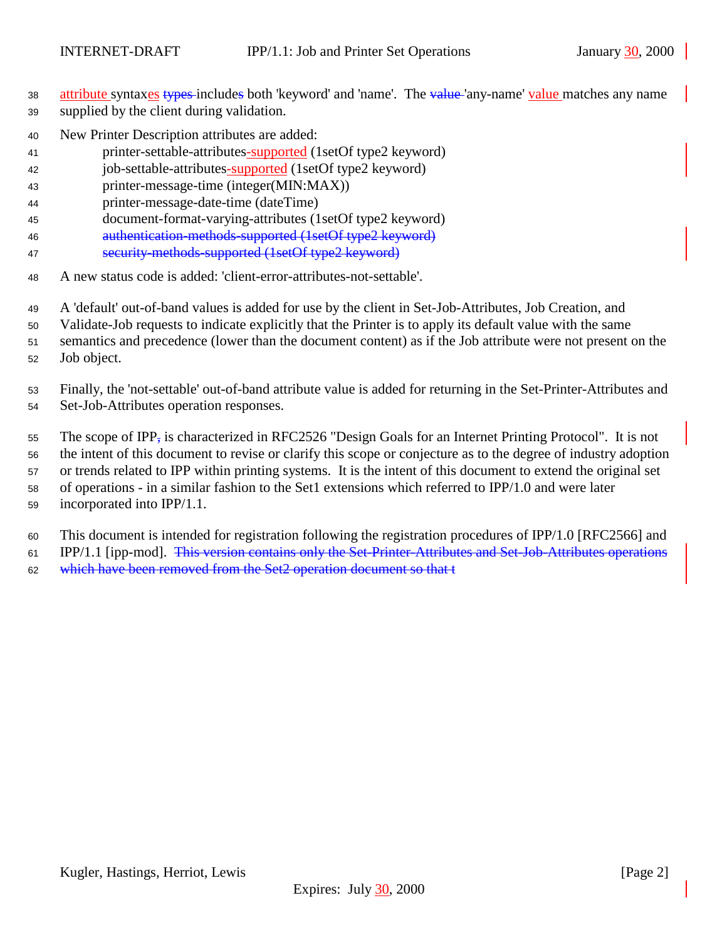38 attribute syntaxes types includes both 'keyword' and 'name'. The value 'any-name' value matches any name supplied by the client during validation.

- New Printer Description attributes are added:
- printer-settable-attributes-supported (1setOf type2 keyword)
- job-settable-attributes-supported (1setOf type2 keyword)
- printer-message-time (integer(MIN:MAX))
- printer-message-date-time (dateTime)
- document-format-varying-attributes (1setOf type2 keyword)
- authentication-methods-supported (1setOf type2 keyword)
- security-methods-supported (1setOf type2 keyword)
- A new status code is added: 'client-error-attributes-not-settable'.
- A 'default' out-of-band values is added for use by the client in Set-Job-Attributes, Job Creation, and
- Validate-Job requests to indicate explicitly that the Printer is to apply its default value with the same
- semantics and precedence (lower than the document content) as if the Job attribute were not present on the
- Job object.

 Finally, the 'not-settable' out-of-band attribute value is added for returning in the Set-Printer-Attributes and Set-Job-Attributes operation responses.

 The scope of IPP, is characterized in RFC2526 "Design Goals for an Internet Printing Protocol". It is not the intent of this document to revise or clarify this scope or conjecture as to the degree of industry adoption or trends related to IPP within printing systems. It is the intent of this document to extend the original set of operations - in a similar fashion to the Set1 extensions which referred to IPP/1.0 and were later incorporated into IPP/1.1.

This document is intended for registration following the registration procedures of IPP/1.0 [RFC2566] and

61 IPP/1.1 [ipp-mod]. This version contains only the Set-Printer-Attributes and Set-Job-Attributes operations

which have been removed from the Set2 operation document so that t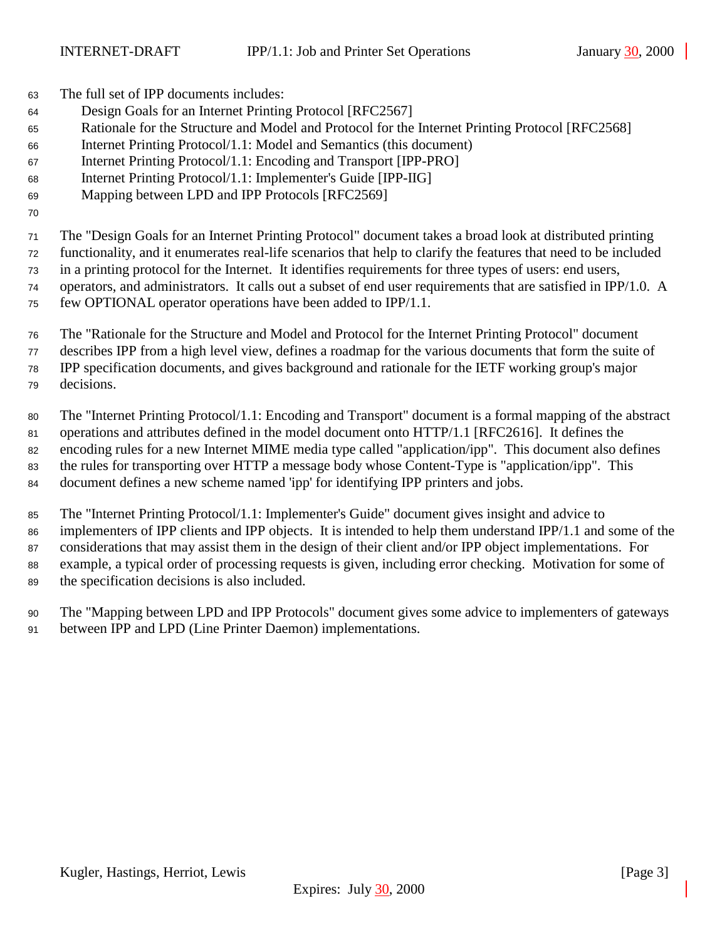The full set of IPP documents includes:

- Design Goals for an Internet Printing Protocol [RFC2567]
- Rationale for the Structure and Model and Protocol for the Internet Printing Protocol [RFC2568]
- Internet Printing Protocol/1.1: Model and Semantics (this document)
- Internet Printing Protocol/1.1: Encoding and Transport [IPP-PRO]
- Internet Printing Protocol/1.1: Implementer's Guide [IPP-IIG]
- Mapping between LPD and IPP Protocols [RFC2569]
- 

 The "Design Goals for an Internet Printing Protocol" document takes a broad look at distributed printing functionality, and it enumerates real-life scenarios that help to clarify the features that need to be included

in a printing protocol for the Internet. It identifies requirements for three types of users: end users,

operators, and administrators. It calls out a subset of end user requirements that are satisfied in IPP/1.0. A

- few OPTIONAL operator operations have been added to IPP/1.1.
- The "Rationale for the Structure and Model and Protocol for the Internet Printing Protocol" document describes IPP from a high level view, defines a roadmap for the various documents that form the suite of IPP specification documents, and gives background and rationale for the IETF working group's major decisions.
- The "Internet Printing Protocol/1.1: Encoding and Transport" document is a formal mapping of the abstract operations and attributes defined in the model document onto HTTP/1.1 [RFC2616]. It defines the encoding rules for a new Internet MIME media type called "application/ipp". This document also defines the rules for transporting over HTTP a message body whose Content-Type is "application/ipp". This document defines a new scheme named 'ipp' for identifying IPP printers and jobs.
- The "Internet Printing Protocol/1.1: Implementer's Guide" document gives insight and advice to implementers of IPP clients and IPP objects. It is intended to help them understand IPP/1.1 and some of the considerations that may assist them in the design of their client and/or IPP object implementations. For example, a typical order of processing requests is given, including error checking. Motivation for some of the specification decisions is also included.
- The "Mapping between LPD and IPP Protocols" document gives some advice to implementers of gateways between IPP and LPD (Line Printer Daemon) implementations.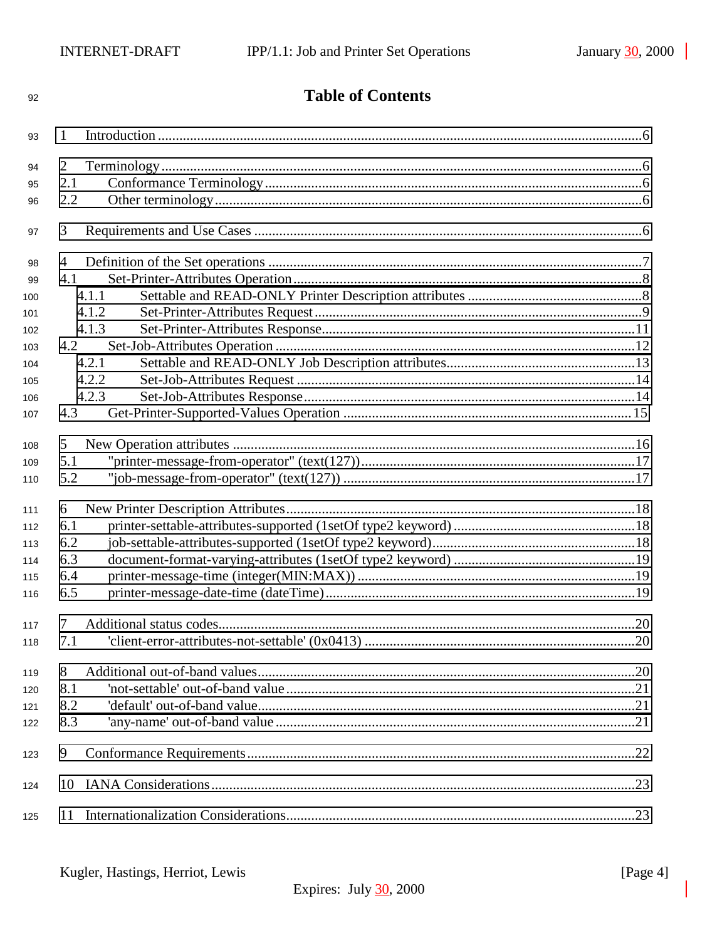| 92  | <b>Table of Contents</b> |  |
|-----|--------------------------|--|
| 93  | 1                        |  |
| 94  | $\overline{2}$           |  |
| 95  | 2.1                      |  |
| 96  | 2.2                      |  |
|     |                          |  |
| 97  | 3                        |  |
| 98  | 4                        |  |
| 99  | 4.1                      |  |
| 100 | 4.1.1                    |  |
| 101 | 4.1.2                    |  |
| 102 | 4.1.3                    |  |
| 103 | 4.2                      |  |
| 104 | 4.2.1                    |  |
| 105 | 4.2.2                    |  |
| 106 | 4.2.3                    |  |
| 107 | 4.3                      |  |
| 108 | 5                        |  |
| 109 | 5.1                      |  |
| 110 | 5.2                      |  |
| 111 | 6                        |  |
| 112 | 6.1                      |  |
| 113 | 6.2                      |  |
| 114 | 6.3                      |  |
| 115 | 6.4                      |  |
| 116 | 6.5                      |  |
| 117 | 7                        |  |
| 118 | 7.1                      |  |
| 119 | 8                        |  |
| 120 | 8.1                      |  |
| 121 | 8.2                      |  |
| 122 | 8.3                      |  |
| 123 | 9                        |  |
| 124 | 10                       |  |
| 125 | 11                       |  |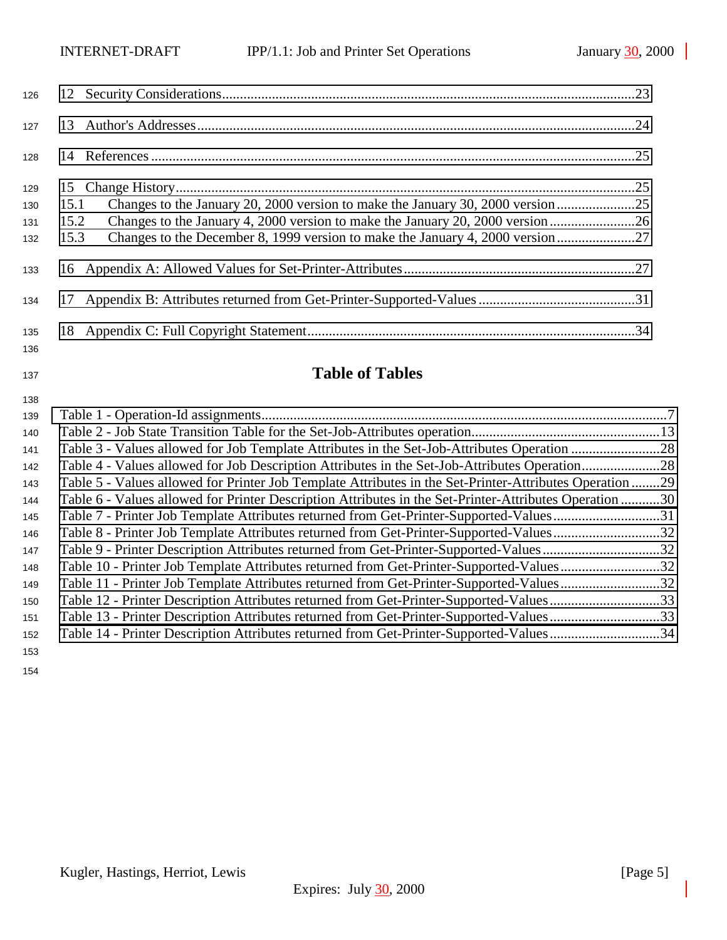| 126        |                                                                                       |  |
|------------|---------------------------------------------------------------------------------------|--|
| 127        |                                                                                       |  |
| 128        |                                                                                       |  |
| 129        |                                                                                       |  |
| 130        | 15.1                                                                                  |  |
| 131        | Changes to the January 4, 2000 version to make the January 20, 2000 version26<br>15.2 |  |
| 132        | 15.3                                                                                  |  |
| 133        |                                                                                       |  |
| 134        |                                                                                       |  |
| 135<br>136 |                                                                                       |  |

# **Table of Tables**

| 138 |                                                                                                         |  |
|-----|---------------------------------------------------------------------------------------------------------|--|
| 139 |                                                                                                         |  |
| 140 |                                                                                                         |  |
| 141 |                                                                                                         |  |
| 142 |                                                                                                         |  |
| 143 | Table 5 - Values allowed for Printer Job Template Attributes in the Set-Printer-Attributes Operation 29 |  |
| 144 | Table 6 - Values allowed for Printer Description Attributes in the Set-Printer-Attributes Operation 30  |  |
| 145 | Table 7 - Printer Job Template Attributes returned from Get-Printer-Supported-Values31                  |  |
| 146 | Table 8 - Printer Job Template Attributes returned from Get-Printer-Supported-Values32                  |  |
| 147 | Table 9 - Printer Description Attributes returned from Get-Printer-Supported-Values32                   |  |
| 148 | Table 10 - Printer Job Template Attributes returned from Get-Printer-Supported-Values32                 |  |
| 149 | Table 11 - Printer Job Template Attributes returned from Get-Printer-Supported-Values32                 |  |
| 150 | Table 12 - Printer Description Attributes returned from Get-Printer-Supported-Values33                  |  |
| 151 | Table 13 - Printer Description Attributes returned from Get-Printer-Supported-Values33                  |  |
| 152 | Table 14 - Printer Description Attributes returned from Get-Printer-Supported-Values34                  |  |
| 153 |                                                                                                         |  |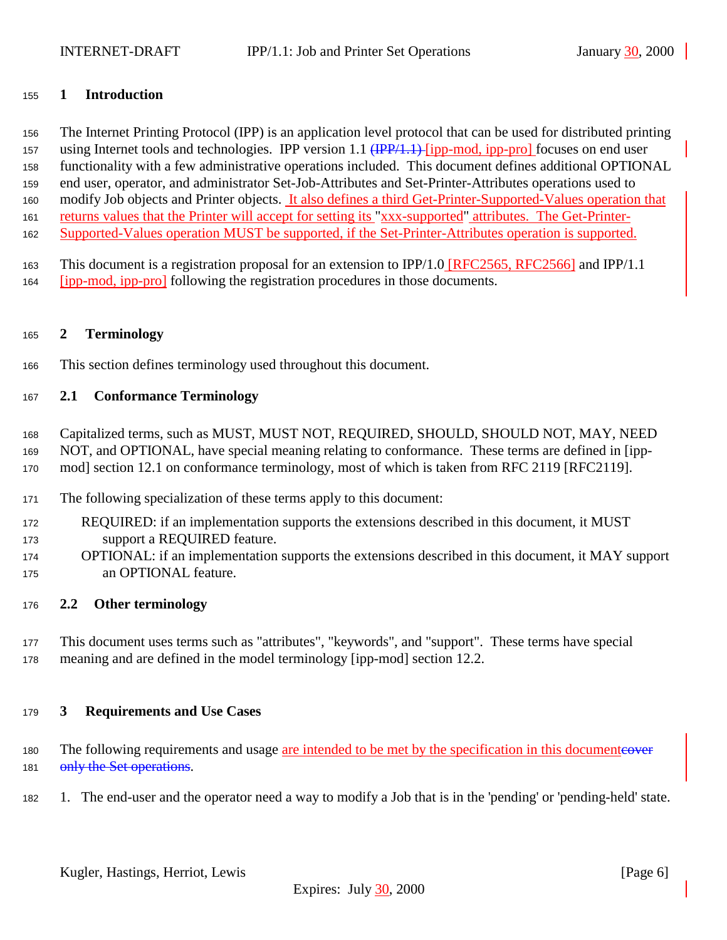# <span id="page-5-0"></span>**1 Introduction**

 The Internet Printing Protocol (IPP) is an application level protocol that can be used for distributed printing 157 using Internet tools and technologies. IPP version 1.1 (IPP/1.1) [ipp-mod, ipp-pro] focuses on end user functionality with a few administrative operations included. This document defines additional OPTIONAL end user, operator, and administrator Set-Job-Attributes and Set-Printer-Attributes operations used to modify Job objects and Printer objects. It also defines a third Get-Printer-Supported-Values operation that returns values that the Printer will accept for setting its "xxx-supported" attributes. The Get-Printer-Supported-Values operation MUST be supported, if the Set-Printer-Attributes operation is supported.

 This document is a registration proposal for an extension to IPP/1.0 [RFC2565, RFC2566] and IPP/1.1 [ipp-mod, ipp-pro] following the registration procedures in those documents.

## **2 Terminology**

This section defines terminology used throughout this document.

## **2.1 Conformance Terminology**

Capitalized terms, such as MUST, MUST NOT, REQUIRED, SHOULD, SHOULD NOT, MAY, NEED

- NOT, and OPTIONAL, have special meaning relating to conformance. These terms are defined in [ipp-
- mod] section 12.1 on conformance terminology, most of which is taken from RFC 2119 [RFC2119].
- The following specialization of these terms apply to this document:
- REQUIRED: if an implementation supports the extensions described in this document, it MUST support a REQUIRED feature.
- OPTIONAL: if an implementation supports the extensions described in this document, it MAY support an OPTIONAL feature.

## **2.2 Other terminology**

 This document uses terms such as "attributes", "keywords", and "support". These terms have special meaning and are defined in the model terminology [ipp-mod] section 12.2.

## **3 Requirements and Use Cases**

- 180 The following requirements and usage are intended to be met by the specification in this documenteover 181 only the Set operations.
- 1. The end-user and the operator need a way to modify a Job that is in the 'pending' or 'pending-held' state.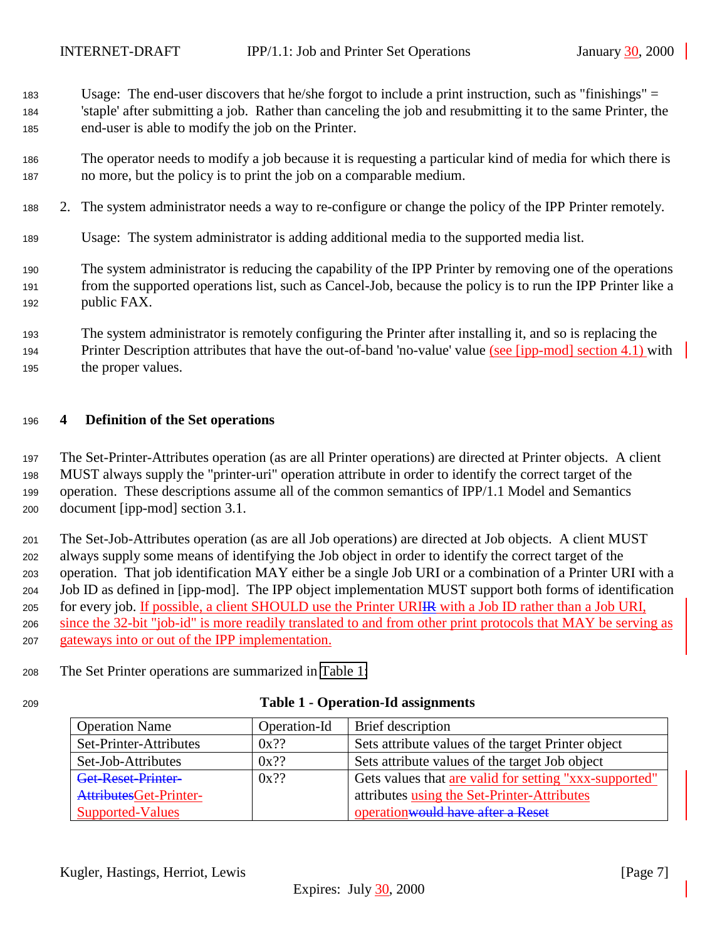- <span id="page-6-0"></span>Usage: The end-user discovers that he/she forgot to include a print instruction, such as "finishings" =
- 'staple' after submitting a job. Rather than canceling the job and resubmitting it to the same Printer, the end-user is able to modify the job on the Printer.
- The operator needs to modify a job because it is requesting a particular kind of media for which there is no more, but the policy is to print the job on a comparable medium.
- 2. The system administrator needs a way to re-configure or change the policy of the IPP Printer remotely.
- Usage: The system administrator is adding additional media to the supported media list.
- The system administrator is reducing the capability of the IPP Printer by removing one of the operations from the supported operations list, such as Cancel-Job, because the policy is to run the IPP Printer like a public FAX.
- The system administrator is remotely configuring the Printer after installing it, and so is replacing the
- Printer Description attributes that have the out-of-band 'no-value' value (see [ipp-mod] section 4.1) with the proper values.

# **4 Definition of the Set operations**

 The Set-Printer-Attributes operation (as are all Printer operations) are directed at Printer objects. A client MUST always supply the "printer-uri" operation attribute in order to identify the correct target of the operation. These descriptions assume all of the common semantics of IPP/1.1 Model and Semantics document [ipp-mod] section 3.1.

 The Set-Job-Attributes operation (as are all Job operations) are directed at Job objects. A client MUST always supply some means of identifying the Job object in order to identify the correct target of the operation. That job identification MAY either be a single Job URI or a combination of a Printer URI with a Job ID as defined in [ipp-mod]. The IPP object implementation MUST support both forms of identification for every job. If possible, a client SHOULD use the Printer URIIR with a Job ID rather than a Job URI, since the 32-bit "job-id" is more readily translated to and from other print protocols that MAY be serving as gateways into or out of the IPP implementation.

- The Set Printer operations are summarized in Table 1:
- 

# **Table 1 - Operation-Id assignments**

| <b>Operation Name</b>   | Operation-Id | Brief description                                      |
|-------------------------|--------------|--------------------------------------------------------|
| Set-Printer-Attributes  | $0x$ ??      | Sets attribute values of the target Printer object     |
| Set-Job-Attributes      | $0x$ ??      | Sets attribute values of the target Job object         |
| Get-Reset-Printer-      | $0x$ ??      | Gets values that are valid for setting "xxx-supported" |
| AttributesGet-Printer-  |              | attributes using the Set-Printer-Attributes            |
| <b>Supported-Values</b> |              | operation would have after a Reset                     |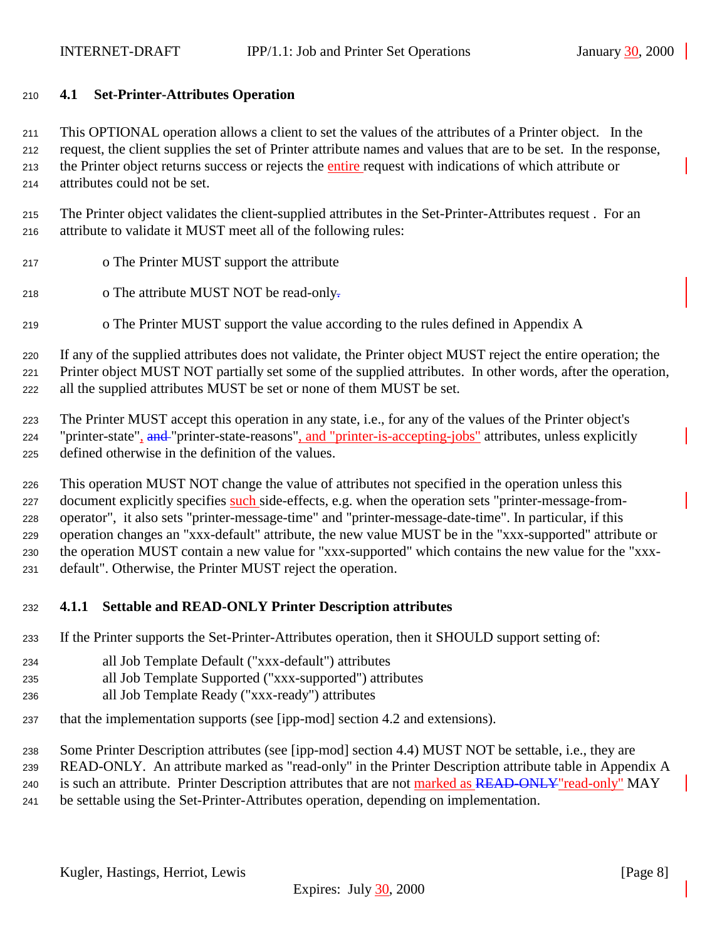### <span id="page-7-0"></span>**4.1 Set-Printer-Attributes Operation**

 This OPTIONAL operation allows a client to set the values of the attributes of a Printer object. In the request, the client supplies the set of Printer attribute names and values that are to be set. In the response, the Printer object returns success or rejects the entire request with indications of which attribute or attributes could not be set.

- The Printer object validates the client-supplied attributes in the Set-Printer-Attributes request . For an attribute to validate it MUST meet all of the following rules:
- o The Printer MUST support the attribute
- 218 o The attribute MUST NOT be read-only-
- o The Printer MUST support the value according to the rules defined in Appendix A

 If any of the supplied attributes does not validate, the Printer object MUST reject the entire operation; the Printer object MUST NOT partially set some of the supplied attributes. In other words, after the operation, all the supplied attributes MUST be set or none of them MUST be set.

 The Printer MUST accept this operation in any state, i.e., for any of the values of the Printer object's 224 "printer-state", and "printer-state-reasons", and "printer-is-accepting-jobs" attributes, unless explicitly defined otherwise in the definition of the values.

 This operation MUST NOT change the value of attributes not specified in the operation unless this 227 document explicitly specifies such side-effects, e.g. when the operation sets "printer-message-from- operator", it also sets "printer-message-time" and "printer-message-date-time". In particular, if this operation changes an "xxx-default" attribute, the new value MUST be in the "xxx-supported" attribute or the operation MUST contain a new value for "xxx-supported" which contains the new value for the "xxx-default". Otherwise, the Printer MUST reject the operation.

## **4.1.1 Settable and READ-ONLY Printer Description attributes**

If the Printer supports the Set-Printer-Attributes operation, then it SHOULD support setting of:

- all Job Template Default ("xxx-default") attributes
- all Job Template Supported ("xxx-supported") attributes
- all Job Template Ready ("xxx-ready") attributes
- that the implementation supports (see [ipp-mod] section 4.2 and extensions).
- Some Printer Description attributes (see [ipp-mod] section 4.4) MUST NOT be settable, i.e., they are

READ-ONLY. An attribute marked as "read-only" in the Printer Description attribute table in Appendix A

240 is such an attribute. Printer Description attributes that are not marked as READ-ONLY"read-only" MAY

be settable using the Set-Printer-Attributes operation, depending on implementation.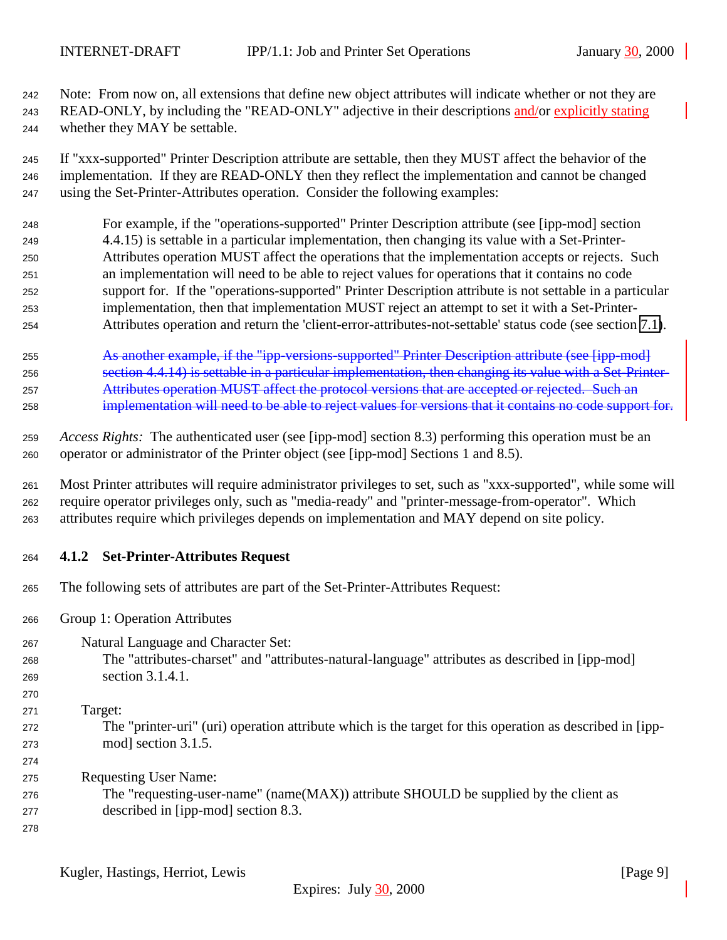<span id="page-8-0"></span> Note: From now on, all extensions that define new object attributes will indicate whether or not they are READ-ONLY, by including the "READ-ONLY" adjective in their descriptions and/or explicitly stating whether they MAY be settable.

 If "xxx-supported" Printer Description attribute are settable, then they MUST affect the behavior of the implementation. If they are READ-ONLY then they reflect the implementation and cannot be changed using the Set-Printer-Attributes operation. Consider the following examples:

- For example, if the "operations-supported" Printer Description attribute (see [ipp-mod] section 4.4.15) is settable in a particular implementation, then changing its value with a Set-Printer- Attributes operation MUST affect the operations that the implementation accepts or rejects. Such an implementation will need to be able to reject values for operations that it contains no code support for. If the "operations-supported" Printer Description attribute is not settable in a particular implementation, then that implementation MUST reject an attempt to set it with a Set-Printer-Attributes operation and return the 'client-error-attributes-not-settable' status code (see section [7.1\)](#page-19-0).
- As another example, if the "ipp-versions-supported" Printer Description attribute (see [ipp-mod] section 4.4.14) is settable in a particular implementation, then changing its value with a Set-Printer- Attributes operation MUST affect the protocol versions that are accepted or rejected. Such an implementation will need to be able to reject values for versions that it contains no code support for.
- *Access Rights:*The authenticated user (see [ipp-mod] section 8.3) performing this operation must be an operator or administrator of the Printer object (see [ipp-mod] Sections 1 and 8.5).
- Most Printer attributes will require administrator privileges to set, such as "xxx-supported", while some will require operator privileges only, such as "media-ready" and "printer-message-from-operator". Which attributes require which privileges depends on implementation and MAY depend on site policy.
- **4.1.2 Set-Printer-Attributes Request**
- The following sets of attributes are part of the Set-Printer-Attributes Request:
- Group 1: Operation Attributes
- Natural Language and Character Set:
- The "attributes-charset" and "attributes-natural-language" attributes as described in [ipp-mod] section 3.1.4.1.
- Target: The "printer-uri" (uri) operation attribute which is the target for this operation as described in [ipp- mod] section 3.1.5.
	- Requesting User Name:
	- The "requesting-user-name" (name(MAX)) attribute SHOULD be supplied by the client as described in [ipp-mod] section 8.3.
	-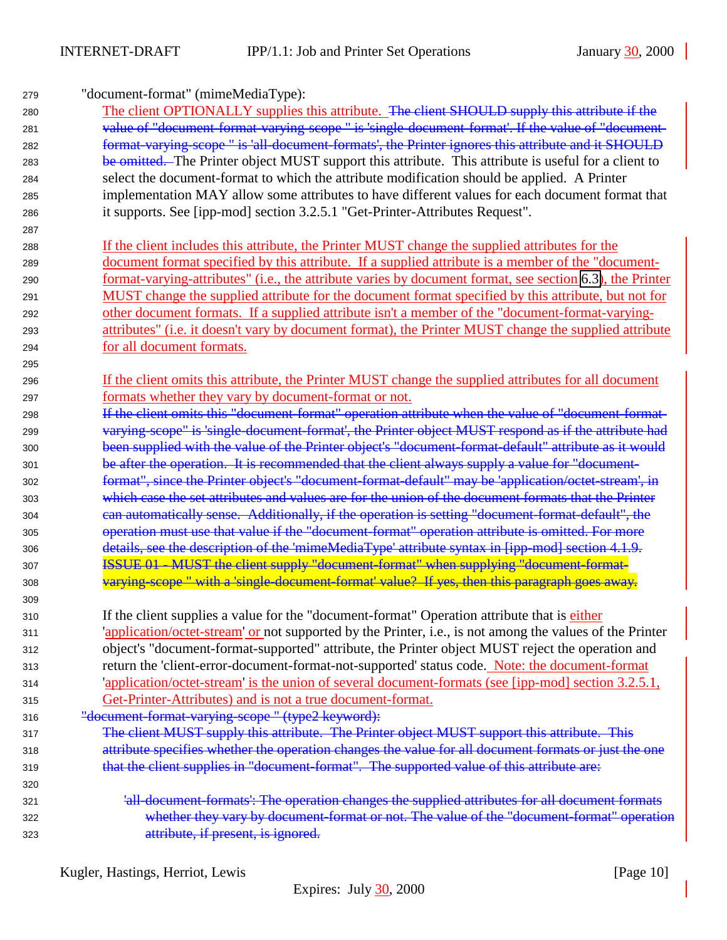"document-format" (mimeMediaType):

- 280 The client OPTIONALLY supplies this attribute. The client SHOULD supply this attribute if the value of "document-format-varying-scope " is 'single-document-format'. If the value of "document- format-varying-scope " is 'all-document-formats', the Printer ignores this attribute and it SHOULD 283 be omitted. The Printer object MUST support this attribute. This attribute is useful for a client to select the document-format to which the attribute modification should be applied. A Printer implementation MAY allow some attributes to have different values for each document format that it supports. See [ipp-mod] section 3.2.5.1 "Get-Printer-Attributes Request".
- If the client includes this attribute, the Printer MUST change the supplied attributes for the document format specified by this attribute. If a supplied attribute is a member of the "document- format-varying-attributes" (i.e., the attribute varies by document format, see section [6.3\)](#page-18-0), the Printer MUST change the supplied attribute for the document format specified by this attribute, but not for other document formats. If a supplied attribute isn't a member of the "document-format-varying- attributes" (i.e. it doesn't vary by document format), the Printer MUST change the supplied attribute for all document formats.
- If the client omits this attribute, the Printer MUST change the supplied attributes for all document formats whether they vary by document-format or not.
- If the client omits this "document-format" operation attribute when the value of "document-format- varying-scope" is 'single-document-format', the Printer object MUST respond as if the attribute had been supplied with the value of the Printer object's "document-format-default" attribute as it would 301 be after the operation. It is recommended that the client always supply a value for "document- format", since the Printer object's "document-format-default" may be 'application/octet-stream', in which case the set attributes and values are for the union of the document formats that the Printer can automatically sense. Additionally, if the operation is setting "document-format-default", the operation must use that value if the "document-format" operation attribute is omitted. For more details, see the description of the 'mimeMediaType' attribute syntax in [ipp-mod] section 4.1.9. **ISSUE 01 - MUST the client supply "document-format" when supplying "document-format-**308 varying-scope " with a 'single-document-format' value? If yes, then this paragraph goes away.
- If the client supplies a value for the "document-format" Operation attribute that is either 'application/octet-stream' or not supported by the Printer, i.e., is not among the values of the Printer object's "document-format-supported" attribute, the Printer object MUST reject the operation and return the 'client-error-document-format-not-supported' status code. Note: the document-format 'application/octet-stream' is the union of several document-formats (see [ipp-mod] section 3.2.5.1, Get-Printer-Attributes) and is not a true document-format.
- 316 "<del>document-format-varying-scope" (type2 keyword):</del>
- 317 The client MUST supply this attribute. The Printer object MUST support this attribute. This attribute specifies whether the operation changes the value for all document formats or just the one 319 that the client supplies in "document-format". The supported value of this attribute are:
- 'all-document-formats': The operation changes the supplied attributes for all document formats whether they vary by document-format or not. The value of the "document-format" operation attribute, if present, is ignored.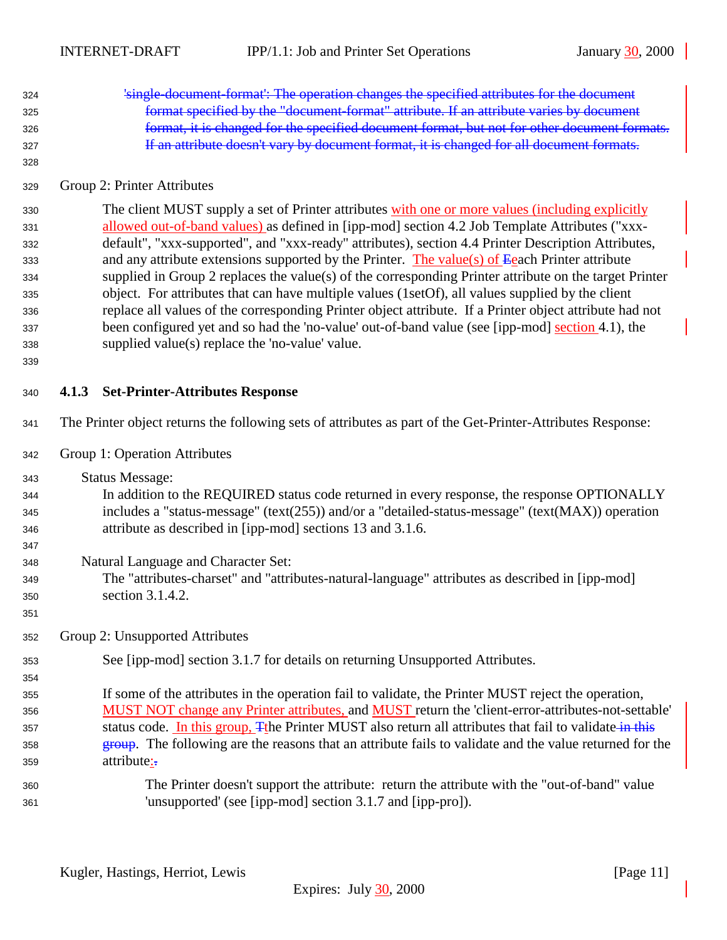<span id="page-10-0"></span>

| 324<br>325<br>326<br>327<br>328                                    | 'single-document-format': The operation changes the specified attributes for the document<br>format specified by the "document-format" attribute. If an attribute varies by document<br>format, it is changed for the specified document format, but not for other document formats.<br>If an attribute doesn't vary by document format, it is changed for all document formats.                                                                                                                                                                                                                                                                                                                                                                                                                                                                                                               |  |
|--------------------------------------------------------------------|------------------------------------------------------------------------------------------------------------------------------------------------------------------------------------------------------------------------------------------------------------------------------------------------------------------------------------------------------------------------------------------------------------------------------------------------------------------------------------------------------------------------------------------------------------------------------------------------------------------------------------------------------------------------------------------------------------------------------------------------------------------------------------------------------------------------------------------------------------------------------------------------|--|
| 329                                                                | Group 2: Printer Attributes                                                                                                                                                                                                                                                                                                                                                                                                                                                                                                                                                                                                                                                                                                                                                                                                                                                                    |  |
| 330<br>331<br>332<br>333<br>334<br>335<br>336<br>337<br>338<br>339 | The client MUST supply a set of Printer attributes with one or more values (including explicitly<br>allowed out-of-band values) as defined in [ipp-mod] section 4.2 Job Template Attributes ("xxx-<br>default", "xxx-supported", and "xxx-ready" attributes), section 4.4 Printer Description Attributes,<br>and any attribute extensions supported by the Printer. The value(s) of $E$ each Printer attribute<br>supplied in Group 2 replaces the value(s) of the corresponding Printer attribute on the target Printer<br>object. For attributes that can have multiple values (1setOf), all values supplied by the client<br>replace all values of the corresponding Printer object attribute. If a Printer object attribute had not<br>been configured yet and so had the 'no-value' out-of-band value (see [ipp-mod] section 4.1), the<br>supplied value(s) replace the 'no-value' value. |  |
| 340                                                                | 4.1.3 Set-Printer-Attributes Response                                                                                                                                                                                                                                                                                                                                                                                                                                                                                                                                                                                                                                                                                                                                                                                                                                                          |  |
| 341                                                                | The Printer object returns the following sets of attributes as part of the Get-Printer-Attributes Response:                                                                                                                                                                                                                                                                                                                                                                                                                                                                                                                                                                                                                                                                                                                                                                                    |  |
| 342                                                                | Group 1: Operation Attributes                                                                                                                                                                                                                                                                                                                                                                                                                                                                                                                                                                                                                                                                                                                                                                                                                                                                  |  |
| 343<br>344<br>345<br>346                                           | <b>Status Message:</b><br>In addition to the REQUIRED status code returned in every response, the response OPTIONALLY<br>includes a "status-message" (text(255)) and/or a "detailed-status-message" (text(MAX)) operation<br>attribute as described in [ipp-mod] sections 13 and 3.1.6.                                                                                                                                                                                                                                                                                                                                                                                                                                                                                                                                                                                                        |  |
| 347<br>348<br>349<br>350<br>351                                    | Natural Language and Character Set:<br>The "attributes-charset" and "attributes-natural-language" attributes as described in [ipp-mod]<br>section 3.1.4.2.                                                                                                                                                                                                                                                                                                                                                                                                                                                                                                                                                                                                                                                                                                                                     |  |
| 352                                                                | Group 2: Unsupported Attributes                                                                                                                                                                                                                                                                                                                                                                                                                                                                                                                                                                                                                                                                                                                                                                                                                                                                |  |
| 353<br>354                                                         | See [ipp-mod] section 3.1.7 for details on returning Unsupported Attributes.                                                                                                                                                                                                                                                                                                                                                                                                                                                                                                                                                                                                                                                                                                                                                                                                                   |  |
| 355<br>356<br>357<br>358<br>359                                    | If some of the attributes in the operation fail to validate, the Printer MUST reject the operation,<br>MUST NOT change any Printer attributes, and MUST return the 'client-error-attributes-not-settable'<br>status code. In this group, Tthe Printer MUST also return all attributes that fail to validate in this<br><b>group.</b> The following are the reasons that an attribute fails to validate and the value returned for the<br>attribute:-                                                                                                                                                                                                                                                                                                                                                                                                                                           |  |
| 360<br>361                                                         | The Printer doesn't support the attribute: return the attribute with the "out-of-band" value<br>'unsupported' (see [ipp-mod] section 3.1.7 and [ipp-pro]).                                                                                                                                                                                                                                                                                                                                                                                                                                                                                                                                                                                                                                                                                                                                     |  |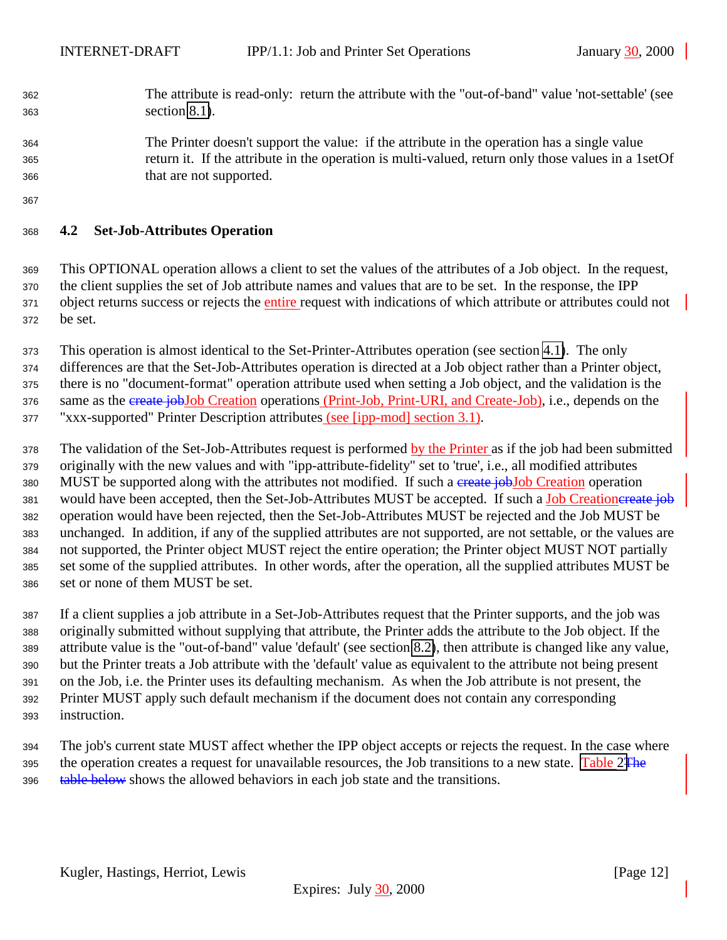- <span id="page-11-0"></span> The attribute is read-only: return the attribute with the "out-of-band" value 'not-settable' (see section [8.1\)](#page-20-0).
- The Printer doesn't support the value: if the attribute in the operation has a single value return it. If the attribute in the operation is multi-valued, return only those values in a 1setOf that are not supported.
- 

# **4.2 Set-Job-Attributes Operation**

 This OPTIONAL operation allows a client to set the values of the attributes of a Job object. In the request, the client supplies the set of Job attribute names and values that are to be set. In the response, the IPP 371 object returns success or rejects the entire request with indications of which attribute or attributes could not be set.

This operation is almost identical to the Set-Printer-Attributes operation (see section [4.1\)](#page-7-0). The only

 differences are that the Set-Job-Attributes operation is directed at a Job object rather than a Printer object, there is no "document-format" operation attribute used when setting a Job object, and the validation is the 376 same as the create jobJob Creation operations (Print-Job, Print-URI, and Create-Job), i.e., depends on the

"xxx-supported" Printer Description attributes (see [ipp-mod] section 3.1).

 The validation of the Set-Job-Attributes request is performed by the Printer as if the job had been submitted originally with the new values and with "ipp-attribute-fidelity" set to 'true', i.e., all modified attributes 380 MUST be supported along with the attributes not modified. If such a create jobJob Creation operation 381 would have been accepted, then the Set-Job-Attributes MUST be accepted. If such a Job Creationereate job operation would have been rejected, then the Set-Job-Attributes MUST be rejected and the Job MUST be unchanged. In addition, if any of the supplied attributes are not supported, are not settable, or the values are not supported, the Printer object MUST reject the entire operation; the Printer object MUST NOT partially set some of the supplied attributes. In other words, after the operation, all the supplied attributes MUST be set or none of them MUST be set.

 If a client supplies a job attribute in a Set-Job-Attributes request that the Printer supports, and the job was originally submitted without supplying that attribute, the Printer adds the attribute to the Job object. If the attribute value is the "out-of-band" value 'default' (see section [8.2\)](#page-20-0), then attribute is changed like any value, but the Printer treats a Job attribute with the 'default' value as equivalent to the attribute not being present on the Job, i.e. the Printer uses its defaulting mechanism. As when the Job attribute is not present, the Printer MUST apply such default mechanism if the document does not contain any corresponding instruction.

 The job's current state MUST affect whether the IPP object accepts or rejects the request. In the case where 395 the operation creates a request for unavailable resources, the Job transitions to a new state. [Table 2T](#page-12-0)he 396 table below shows the allowed behaviors in each job state and the transitions.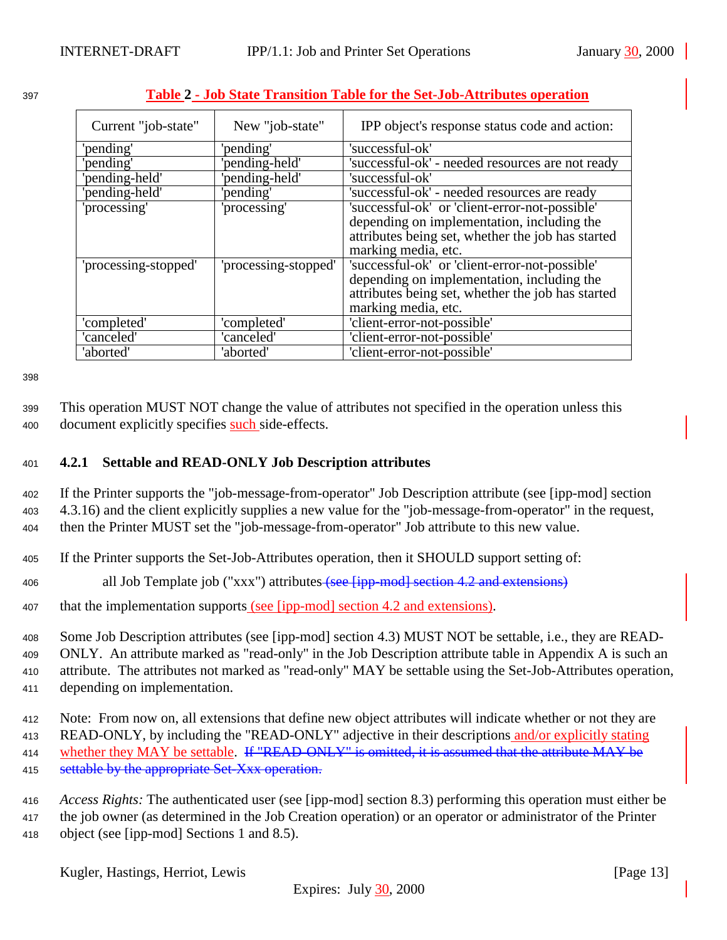| Current "job-state"  | New "job-state"      | IPP object's response status code and action:     |
|----------------------|----------------------|---------------------------------------------------|
| 'pending'            | 'pending'            | 'successful-ok'                                   |
| 'pending'            | 'pending-held'       | 'successful-ok' - needed resources are not ready  |
| 'pending-held'       | 'pending-held'       | 'successful-ok'                                   |
| 'pending-held'       | 'pending'            | 'successful-ok' - needed resources are ready      |
| 'processing'         | 'processing'         | 'successful-ok' or 'client-error-not-possible'    |
|                      |                      | depending on implementation, including the        |
|                      |                      | attributes being set, whether the job has started |
|                      |                      | marking media, etc.                               |
| 'processing-stopped' | 'processing-stopped' | 'successful-ok' or 'client-error-not-possible'    |
|                      |                      | depending on implementation, including the        |
|                      |                      | attributes being set, whether the job has started |
|                      |                      | marking media, etc.                               |
| 'completed'          | 'completed'          | 'client-error-not-possible'                       |
| 'canceled'           | 'canceled'           | 'client-error-not-possible'                       |
| 'aborted'            | 'aborted'            | 'client-error-not-possible'                       |

# <span id="page-12-0"></span><sup>397</sup> **Table 2 - Job State Transition Table for the Set-Job-Attributes operation**

398

<sup>399</sup> This operation MUST NOT change the value of attributes not specified in the operation unless this 400 document explicitly specifies such side-effects.

# <sup>401</sup> **4.2.1 Settable and READ-ONLY Job Description attributes**

<sup>402</sup> If the Printer supports the "job-message-from-operator" Job Description attribute (see [ipp-mod] section <sup>403</sup> 4.3.16) and the client explicitly supplies a new value for the "job-message-from-operator" in the request, <sup>404</sup> then the Printer MUST set the "job-message-from-operator" Job attribute to this new value.

- <sup>405</sup> If the Printer supports the Set-Job-Attributes operation, then it SHOULD support setting of:
- 406 all Job Template job ("xxx") attributes (see [ipp-mod] section 4.2 and extensions)
- 407 that the implementation supports (see [ipp-mod] section 4.2 and extensions).

<sup>408</sup> Some Job Description attributes (see [ipp-mod] section 4.3) MUST NOT be settable, i.e., they are READ-

<sup>409</sup> ONLY. An attribute marked as "read-only" in the Job Description attribute table in Appendix A is such an <sup>410</sup> attribute. The attributes not marked as "read-only" MAY be settable using the Set-Job-Attributes operation,

- <sup>411</sup> depending on implementation.
- <sup>412</sup> Note: From now on, all extensions that define new object attributes will indicate whether or not they are <sup>413</sup> READ-ONLY, by including the "READ-ONLY" adjective in their descriptions and/or explicitly stating 414 whether they MAY be settable. If "READ-ONLY" is omitted, it is assumed that the attribute MAY be 415 settable by the appropriate Set-Xxx operation.
- <sup>416</sup> *Access Rights:* The authenticated user (see [ipp-mod] section 8.3) performing this operation must either be
- <sup>417</sup> the job owner (as determined in the Job Creation operation) or an operator or administrator of the Printer <sup>418</sup> object (see [ipp-mod] Sections 1 and 8.5).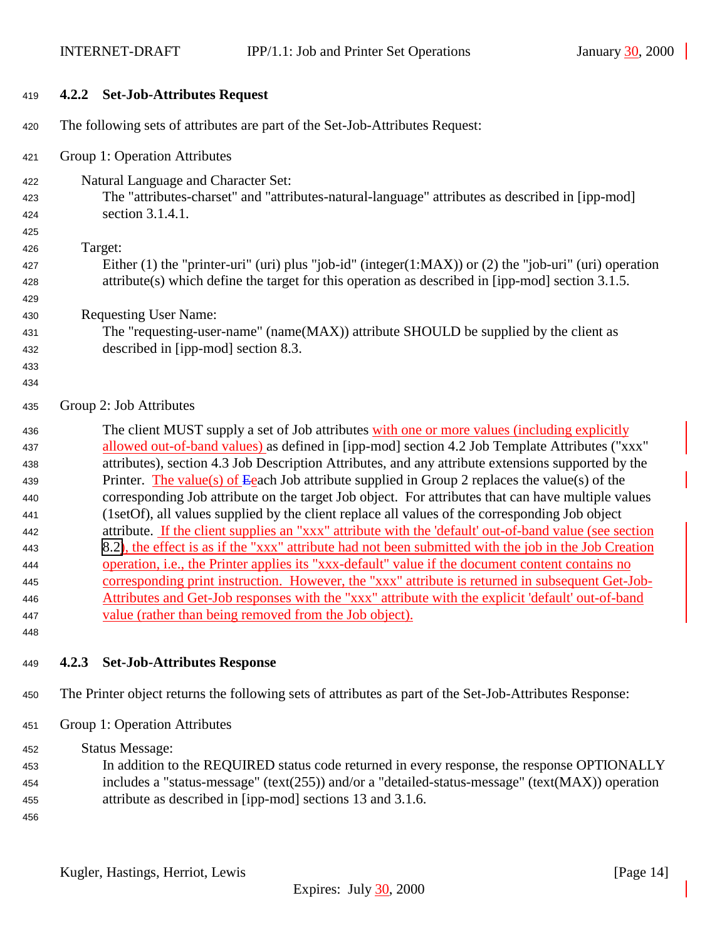<span id="page-13-0"></span>

| 419        |       | 4.2.2 Set-Job-Attributes Request                                                                                                                                                                      |
|------------|-------|-------------------------------------------------------------------------------------------------------------------------------------------------------------------------------------------------------|
| 420        |       | The following sets of attributes are part of the Set-Job-Attributes Request:                                                                                                                          |
| 421        |       | Group 1: Operation Attributes                                                                                                                                                                         |
| 422        |       | Natural Language and Character Set:                                                                                                                                                                   |
| 423        |       | The "attributes-charset" and "attributes-natural-language" attributes as described in [ipp-mod]                                                                                                       |
| 424        |       | section 3.1.4.1.                                                                                                                                                                                      |
| 425        |       |                                                                                                                                                                                                       |
| 426        |       | Target:                                                                                                                                                                                               |
| 427        |       | Either $(1)$ the "printer-uri" (uri) plus "job-id" (integer $(1:MAX)$ ) or $(2)$ the "job-uri" (uri) operation                                                                                        |
| 428        |       | attribute(s) which define the target for this operation as described in [ipp-mod] section 3.1.5.                                                                                                      |
| 429        |       |                                                                                                                                                                                                       |
| 430        |       | <b>Requesting User Name:</b>                                                                                                                                                                          |
| 431        |       | The "requesting-user-name" (name(MAX)) attribute SHOULD be supplied by the client as                                                                                                                  |
| 432        |       | described in [ipp-mod] section 8.3.                                                                                                                                                                   |
| 433        |       |                                                                                                                                                                                                       |
| 434        |       |                                                                                                                                                                                                       |
| 435        |       | Group 2: Job Attributes                                                                                                                                                                               |
| 436        |       | The client MUST supply a set of Job attributes with one or more values (including explicitly                                                                                                          |
| 437        |       | allowed out-of-band values) as defined in [ipp-mod] section 4.2 Job Template Attributes ("xxx"                                                                                                        |
| 438        |       | attributes), section 4.3 Job Description Attributes, and any attribute extensions supported by the                                                                                                    |
| 439        |       | Printer. The value(s) of Eeach Job attribute supplied in Group 2 replaces the value(s) of the                                                                                                         |
| 440        |       | corresponding Job attribute on the target Job object. For attributes that can have multiple values                                                                                                    |
| 441        |       | (1setOf), all values supplied by the client replace all values of the corresponding Job object                                                                                                        |
| 442        |       | attribute. If the client supplies an "xxx" attribute with the 'default' out-of-band value (see section                                                                                                |
| 443        |       | 8.2), the effect is as if the "xxx" attribute had not been submitted with the job in the Job Creation                                                                                                 |
| 444        |       | operation, <i>i.e.</i> , the Printer applies its "xxx-default" value if the document content contains no                                                                                              |
| 445        |       | corresponding print instruction. However, the "xxx" attribute is returned in subsequent Get-Job-<br>Attributes and Get-Job responses with the "xxx" attribute with the explicit 'default' out-of-band |
| 446<br>447 |       | value (rather than being removed from the Job object).                                                                                                                                                |
| 448        |       |                                                                                                                                                                                                       |
|            |       |                                                                                                                                                                                                       |
| 449        | 4.2.3 | <b>Set-Job-Attributes Response</b>                                                                                                                                                                    |
| 450        |       | The Printer object returns the following sets of attributes as part of the Set-Job-Attributes Response:                                                                                               |
| 451        |       | Group 1: Operation Attributes                                                                                                                                                                         |
| 452        |       | <b>Status Message:</b>                                                                                                                                                                                |
| 453        |       | In addition to the REQUIRED status code returned in every response, the response OPTIONALLY                                                                                                           |
| 454        |       | includes a "status-message" (text(255)) and/or a "detailed-status-message" (text(MAX)) operation                                                                                                      |
| 455        |       | attribute as described in [ipp-mod] sections 13 and 3.1.6.                                                                                                                                            |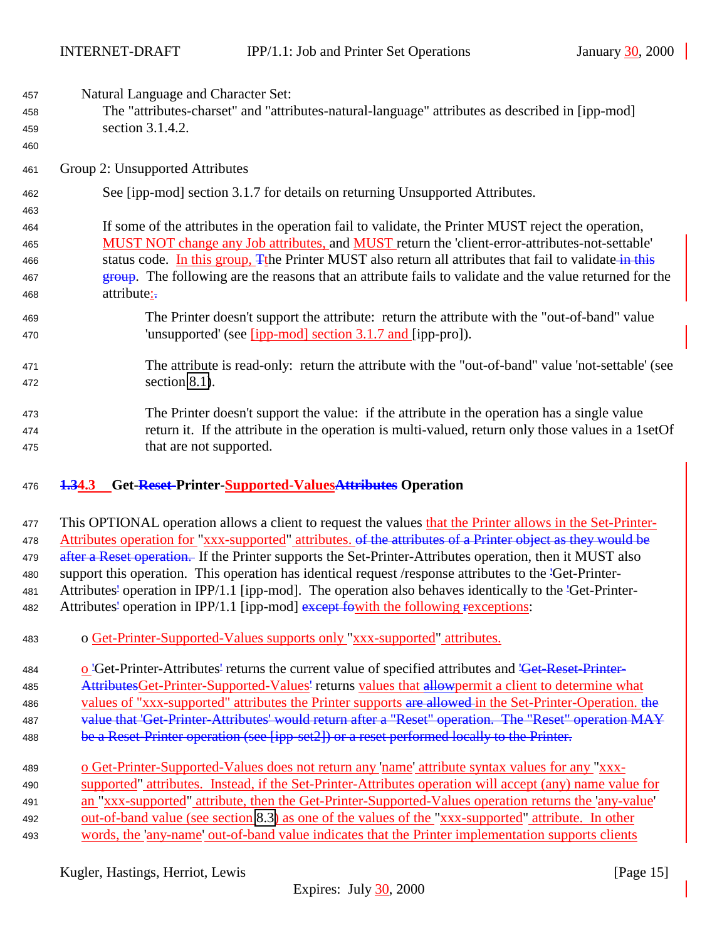<span id="page-14-0"></span>Natural Language and Character Set:

- The "attributes-charset" and "attributes-natural-language" attributes as described in [ipp-mod] section 3.1.4.2.
- Group 2: Unsupported Attributes
- See [ipp-mod] section 3.1.7 for details on returning Unsupported Attributes.
- If some of the attributes in the operation fail to validate, the Printer MUST reject the operation, MUST NOT change any Job attributes, and MUST return the 'client-error-attributes-not-settable' 466 status code. In this group, The Printer MUST also return all attributes that fail to validate in this **group.** The following are the reasons that an attribute fails to validate and the value returned for the 468 attribute:
- The Printer doesn't support the attribute: return the attribute with the "out-of-band" value 470 'unsupported' (see [ipp-mod] section 3.1.7 and [ipp-pro]).
- The attribute is read-only: return the attribute with the "out-of-band" value 'not-settable' (see section [8.1\)](#page-20-0).
- The Printer doesn't support the value: if the attribute in the operation has a single value return it. If the attribute in the operation is multi-valued, return only those values in a 1setOf that are not supported.

# **1.34.3 Get-Reset-Printer-Supported-ValuesAttributes Operation**

- This OPTIONAL operation allows a client to request the values that the Printer allows in the Set-Printer-478 Attributes operation for "xxx-supported" attributes. <del>of the attributes of a Printer object as they would be</del> 479 after a Reset operation. If the Printer supports the Set-Printer-Attributes operation, then it MUST also support this operation. This operation has identical request /response attributes to the 'Get-Printer- Attributes' operation in IPP/1.1 [ipp-mod]. The operation also behaves identically to the 'Get-Printer-482 Attributes' operation in IPP/1.1 [ipp-mod] except fowith the following rexceptions:
- o Get-Printer-Supported-Values supports only "xxx-supported" attributes.
- o 'Get-Printer-Attributes' returns the current value of specified attributes and 'Get-Reset-Printer-485 AttributesGet-Printer-Supported-Values' returns values that allowpermit a client to determine what 486 values of "xxx-supported" attributes the Printer supports are allowed in the Set-Printer-Operation. the 487 value that 'Get-Printer-Attributes' would return after a "Reset" operation. The "Reset" operation MAY
- 488 be a Reset-Printer operation (see [ipp-set2]) or a reset performed locally to the Printer.
- o Get-Printer-Supported-Values does not return any 'name' attribute syntax values for any "xxx- supported" attributes. Instead, if the Set-Printer-Attributes operation will accept (any) name value for an "xxx-supported" attribute, then the Get-Printer-Supported-Values operation returns the 'any-value' out-of-band value (see section [8.3\)](#page-20-0) as one of the values of the "xxx-supported" attribute. In other words, the 'any-name' out-of-band value indicates that the Printer implementation supports clients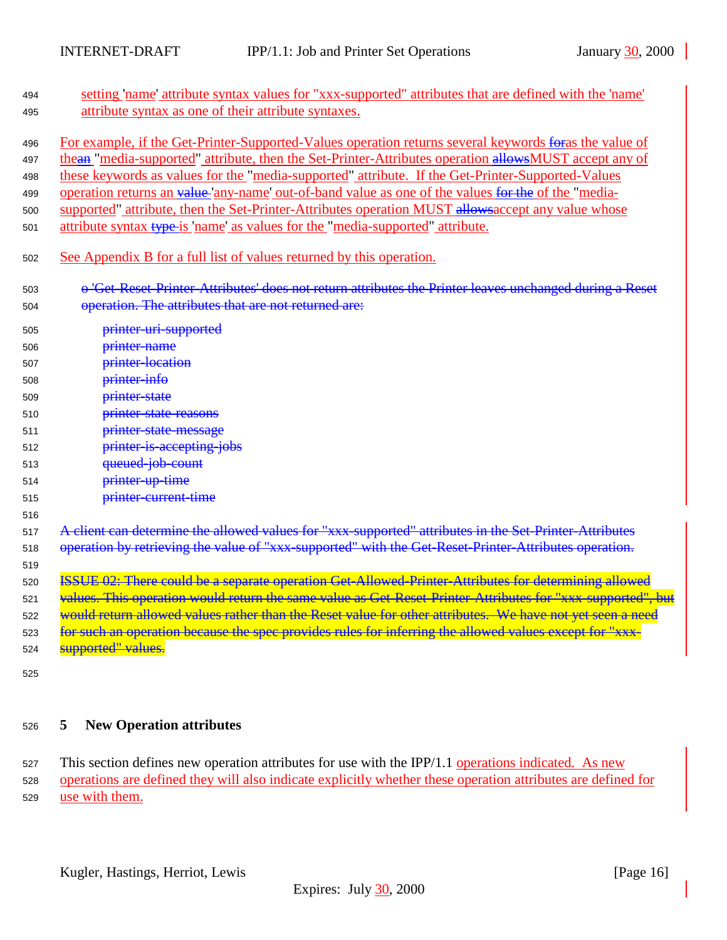<span id="page-15-0"></span>

| 494<br>495                             | setting 'name' attribute syntax values for "xxx-supported" attributes that are defined with the 'name'<br>attribute syntax as one of their attribute syntaxes.                                                                                                                                                                                                                                                                                                                                                                                                                                                       |
|----------------------------------------|----------------------------------------------------------------------------------------------------------------------------------------------------------------------------------------------------------------------------------------------------------------------------------------------------------------------------------------------------------------------------------------------------------------------------------------------------------------------------------------------------------------------------------------------------------------------------------------------------------------------|
| 496<br>497<br>498<br>499<br>500<br>501 | For example, if the Get-Printer-Supported-Values operation returns several keywords for as the value of<br>thean "media-supported" attribute, then the Set-Printer-Attributes operation allowsMUST accept any of<br>these keywords as values for the "media-supported" attribute. If the Get-Printer-Supported-Values<br>operation returns an value 'any-name' out-of-band value as one of the values for the of the "media-<br>supported" attribute, then the Set-Printer-Attributes operation MUST allows accept any value whose<br>attribute syntax type-is 'name' as values for the "media-supported" attribute. |
| 502                                    | See Appendix B for a full list of values returned by this operation.                                                                                                                                                                                                                                                                                                                                                                                                                                                                                                                                                 |
| 503<br>504                             | o 'Get-Reset-Printer-Attributes' does not return attributes the Printer leaves unchanged during a Reset<br>operation. The attributes that are not returned are:                                                                                                                                                                                                                                                                                                                                                                                                                                                      |
| 505                                    | printer-uri-supported                                                                                                                                                                                                                                                                                                                                                                                                                                                                                                                                                                                                |
| 506                                    | printer-name                                                                                                                                                                                                                                                                                                                                                                                                                                                                                                                                                                                                         |
| 507                                    | printer-location                                                                                                                                                                                                                                                                                                                                                                                                                                                                                                                                                                                                     |
| 508                                    | printer-info                                                                                                                                                                                                                                                                                                                                                                                                                                                                                                                                                                                                         |
| 509                                    | printer state                                                                                                                                                                                                                                                                                                                                                                                                                                                                                                                                                                                                        |
| 510                                    | printer state reasons                                                                                                                                                                                                                                                                                                                                                                                                                                                                                                                                                                                                |
| 511                                    | printer-state-message                                                                                                                                                                                                                                                                                                                                                                                                                                                                                                                                                                                                |
| 512                                    | printer-is-accepting-jobs                                                                                                                                                                                                                                                                                                                                                                                                                                                                                                                                                                                            |
| 513                                    | queued-job-count                                                                                                                                                                                                                                                                                                                                                                                                                                                                                                                                                                                                     |
| 514                                    | printer-up-time                                                                                                                                                                                                                                                                                                                                                                                                                                                                                                                                                                                                      |
| 515                                    | printer-current-time                                                                                                                                                                                                                                                                                                                                                                                                                                                                                                                                                                                                 |
| 516                                    |                                                                                                                                                                                                                                                                                                                                                                                                                                                                                                                                                                                                                      |
| 517                                    | A client can determine the allowed values for "xxx-supported" attributes in the Set-Printer-Attributes                                                                                                                                                                                                                                                                                                                                                                                                                                                                                                               |
| 518                                    | operation by retrieving the value of "xxx-supported" with the Get-Reset-Printer-Attributes operation.                                                                                                                                                                                                                                                                                                                                                                                                                                                                                                                |
| 519                                    |                                                                                                                                                                                                                                                                                                                                                                                                                                                                                                                                                                                                                      |
| 520                                    | ISSUE 02: There could be a separate operation Get-Allowed-Printer-Attributes for determining allowed                                                                                                                                                                                                                                                                                                                                                                                                                                                                                                                 |
| 521                                    | values. This operation would return the same value as Get-Reset-Printer-Attributes for "xxx-supported", but                                                                                                                                                                                                                                                                                                                                                                                                                                                                                                          |
| 522                                    | would return allowed values rather than the Reset value for other attributes. We have not yet seen a need                                                                                                                                                                                                                                                                                                                                                                                                                                                                                                            |
| 523                                    | for such an operation because the spec provides rules for inferring the allowed values except for "xxx-                                                                                                                                                                                                                                                                                                                                                                                                                                                                                                              |
| 524                                    | supported" values.                                                                                                                                                                                                                                                                                                                                                                                                                                                                                                                                                                                                   |

# <sup>526</sup> **5 New Operation attributes**

527 This section defines new operation attributes for use with the IPP/1.1 operations indicated. As new <sup>528</sup> operations are defined they will also indicate explicitly whether these operation attributes are defined for <sup>529</sup> use with them.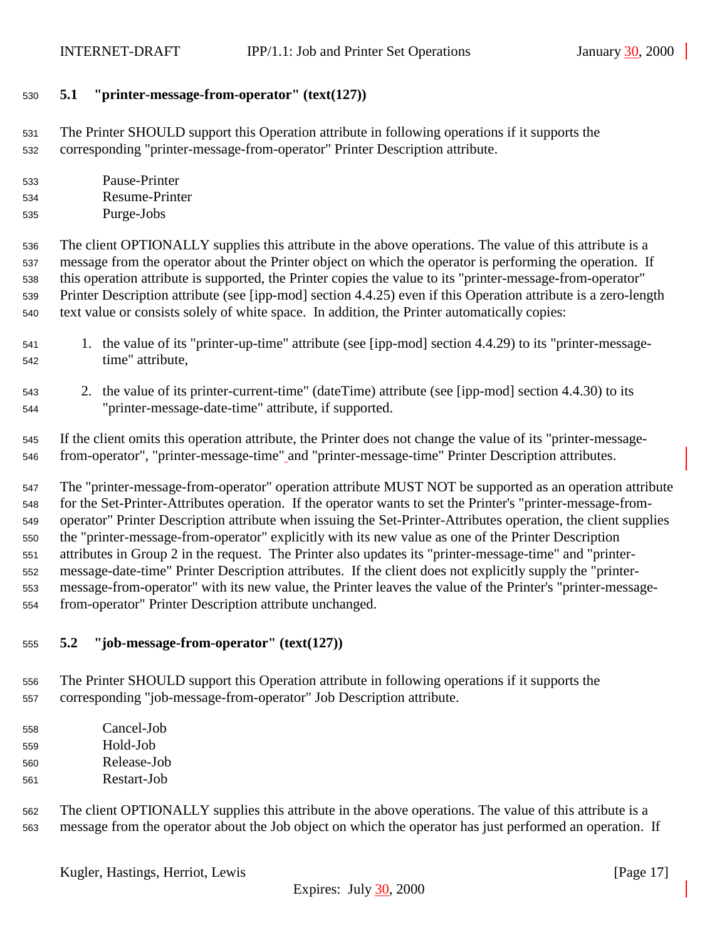# <span id="page-16-0"></span>**5.1 "printer-message-from-operator" (text(127))**

 The Printer SHOULD support this Operation attribute in following operations if it supports the corresponding "printer-message-from-operator" Printer Description attribute.

- Pause-Printer Resume-Printer
- Purge-Jobs

 The client OPTIONALLY supplies this attribute in the above operations. The value of this attribute is a message from the operator about the Printer object on which the operator is performing the operation. If this operation attribute is supported, the Printer copies the value to its "printer-message-from-operator" Printer Description attribute (see [ipp-mod] section 4.4.25) even if this Operation attribute is a zero-length text value or consists solely of white space. In addition, the Printer automatically copies:

- 1. the value of its "printer-up-time" attribute (see [ipp-mod] section 4.4.29) to its "printer-message-time" attribute,
- 2. the value of its printer-current-time" (dateTime) attribute (see [ipp-mod] section 4.4.30) to its "printer-message-date-time" attribute, if supported.

 If the client omits this operation attribute, the Printer does not change the value of its "printer-message-from-operator", "printer-message-time" and "printer-message-time" Printer Description attributes.

 The "printer-message-from-operator" operation attribute MUST NOT be supported as an operation attribute for the Set-Printer-Attributes operation. If the operator wants to set the Printer's "printer-message-from- operator" Printer Description attribute when issuing the Set-Printer-Attributes operation, the client supplies the "printer-message-from-operator" explicitly with its new value as one of the Printer Description attributes in Group 2 in the request. The Printer also updates its "printer-message-time" and "printer- message-date-time" Printer Description attributes. If the client does not explicitly supply the "printer- message-from-operator" with its new value, the Printer leaves the value of the Printer's "printer-message-from-operator" Printer Description attribute unchanged.

## **5.2 "job-message-from-operator" (text(127))**

- The Printer SHOULD support this Operation attribute in following operations if it supports the corresponding "job-message-from-operator" Job Description attribute.
- Cancel-Job Hold-Job Release-Job Restart-Job
- The client OPTIONALLY supplies this attribute in the above operations. The value of this attribute is a message from the operator about the Job object on which the operator has just performed an operation. If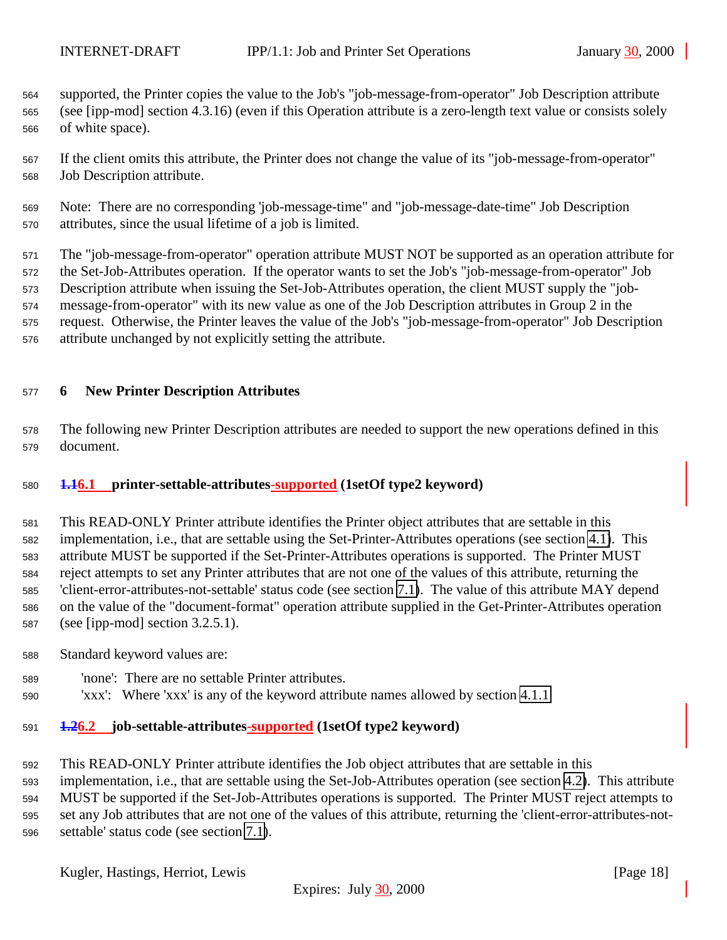<span id="page-17-0"></span> supported, the Printer copies the value to the Job's "job-message-from-operator" Job Description attribute (see [ipp-mod] section 4.3.16) (even if this Operation attribute is a zero-length text value or consists solely of white space).

 If the client omits this attribute, the Printer does not change the value of its "job-message-from-operator" Job Description attribute.

 Note: There are no corresponding 'job-message-time" and "job-message-date-time" Job Description attributes, since the usual lifetime of a job is limited.

 The "job-message-from-operator" operation attribute MUST NOT be supported as an operation attribute for the Set-Job-Attributes operation. If the operator wants to set the Job's "job-message-from-operator" Job Description attribute when issuing the Set-Job-Attributes operation, the client MUST supply the "job- message-from-operator" with its new value as one of the Job Description attributes in Group 2 in the request. Otherwise, the Printer leaves the value of the Job's "job-message-from-operator" Job Description

attribute unchanged by not explicitly setting the attribute.

# **6 New Printer Description Attributes**

 The following new Printer Description attributes are needed to support the new operations defined in this document.

# **1.16.1 printer-settable-attributes-supported (1setOf type2 keyword)**

 This READ-ONLY Printer attribute identifies the Printer object attributes that are settable in this implementation, i.e., that are settable using the Set-Printer-Attributes operations (see section [4.1\)](#page-7-0). This attribute MUST be supported if the Set-Printer-Attributes operations is supported. The Printer MUST reject attempts to set any Printer attributes that are not one of the values of this attribute, returning the 'client-error-attributes-not-settable' status code (see section [7.1\)](#page-19-0). The value of this attribute MAY depend on the value of the "document-format" operation attribute supplied in the Get-Printer-Attributes operation (see [ipp-mod] section 3.2.5.1).

- Standard keyword values are:
- 'none': There are no settable Printer attributes.
- 'xxx': Where 'xxx' is any of the keyword attribute names allowed by section [4.1.1](#page-7-0)

# **1.26.2 job-settable-attributes-supported (1setOf type2 keyword)**

This READ-ONLY Printer attribute identifies the Job object attributes that are settable in this

 implementation, i.e., that are settable using the Set-Job-Attributes operation (see section [4.2\)](#page-11-0). This attribute MUST be supported if the Set-Job-Attributes operations is supported. The Printer MUST reject attempts to set any Job attributes that are not one of the values of this attribute, returning the 'client-error-attributes-not-settable' status code (see section [7.1\)](#page-19-0).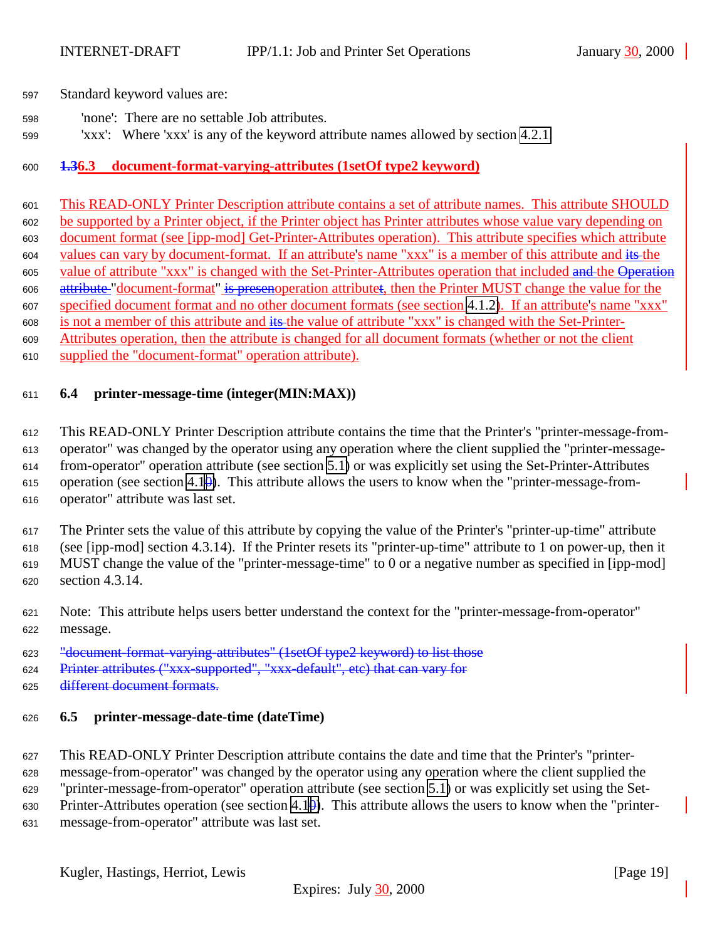<span id="page-18-0"></span>Standard keyword values are:

- 'none': There are no settable Job attributes.
- 'xxx': Where 'xxx' is any of the keyword attribute names allowed by section [4.2.1.](#page-12-0)

# **1.36.3 document-format-varying-attributes (1setOf type2 keyword)**

 This READ-ONLY Printer Description attribute contains a set of attribute names. This attribute SHOULD be supported by a Printer object, if the Printer object has Printer attributes whose value vary depending on document format (see [ipp-mod] Get-Printer-Attributes operation). This attribute specifies which attribute values can vary by document-format. If an attribute's name "xxx" is a member of this attribute and its the 605 value of attribute "xxx" is changed with the Set-Printer-Attributes operation that included and the Operation 606 attribute "document-format" is presenoperation attributet, then the Printer MUST change the value for the specified document format and no other document formats (see section [4.1.2\)](#page-8-0). If an attribute's name "xxx" is not a member of this attribute and its the value of attribute "xxx" is changed with the Set-Printer- Attributes operation, then the attribute is changed for all document formats (whether or not the client supplied the "document-format" operation attribute).

## **6.4 printer-message-time (integer(MIN:MAX))**

 This READ-ONLY Printer Description attribute contains the time that the Printer's "printer-message-from- operator" was changed by the operator using any operation where the client supplied the "printer-message- from-operator" operation attribute (see section [5.1\)](#page-16-0) or was explicitly set using the Set-Printer-Attributes 615 operation (see section 4.1 $\theta$ ). This attribute allows the users to know when the "printer-message-from-operator" attribute was last set.

 The Printer sets the value of this attribute by copying the value of the Printer's "printer-up-time" attribute (see [ipp-mod] section 4.3.14). If the Printer resets its "printer-up-time" attribute to 1 on power-up, then it MUST change the value of the "printer-message-time" to 0 or a negative number as specified in [ipp-mod] section 4.3.14.

- Note: This attribute helps users better understand the context for the "printer-message-from-operator" message.
- "document-format-varying-attributes" (1setOf type2 keyword) to list those
- Printer attributes ("xxx-supported", "xxx-default", etc) that can vary for
- different document formats.

## **6.5 printer-message-date-time (dateTime)**

 This READ-ONLY Printer Description attribute contains the date and time that the Printer's "printer-message-from-operator" was changed by the operator using any operation where the client supplied the

 "printer-message-from-operator" operation attribute (see section [5.1\)](#page-16-0) or was explicitly set using the Set-630 Printer-Attributes operation (see section 4.1 $\theta$ ). This attribute allows the users to know when the "printer-

message-from-operator" attribute was last set.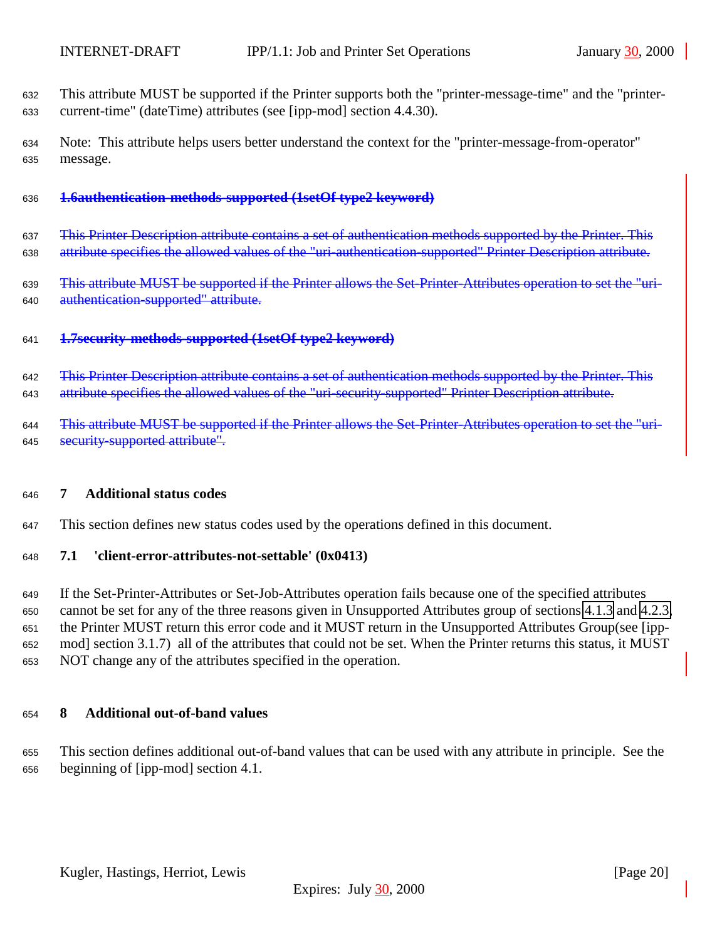<span id="page-19-0"></span> This attribute MUST be supported if the Printer supports both the "printer-message-time" and the "printer-current-time" (dateTime) attributes (see [ipp-mod] section 4.4.30).

 Note: This attribute helps users better understand the context for the "printer-message-from-operator" message.

### **1.6authentication-methods-supported (1setOf type2 keyword)**

637 This Printer Description attribute contains a set of authentication methods supported by the Printer. This attribute specifies the allowed values of the "uri-authentication-supported" Printer Description attribute.

639 This attribute MUST be supported if the Printer allows the Set-Printer-Attributes operation to set the "uri-authentication-supported" attribute.

**1.7security-methods-supported (1setOf type2 keyword)**

 This Printer Description attribute contains a set of authentication methods supported by the Printer. This 643 attribute specifies the allowed values of the "uri-security-supported" Printer Description attribute.

644 This attribute MUST be supported if the Printer allows the Set-Printer-Attributes operation to set the "uri-645 security-supported attribute".

#### **7 Additional status codes**

This section defines new status codes used by the operations defined in this document.

## **7.1 'client-error-attributes-not-settable' (0x0413)**

 If the Set-Printer-Attributes or Set-Job-Attributes operation fails because one of the specified attributes cannot be set for any of the three reasons given in Unsupported Attributes group of sections [4.1.3](#page-10-0) and [4.2.3,](#page-13-0) the Printer MUST return this error code and it MUST return in the Unsupported Attributes Group(see [ipp- mod] section 3.1.7) all of the attributes that could not be set. When the Printer returns this status, it MUST NOT change any of the attributes specified in the operation.

#### **8 Additional out-of-band values**

 This section defines additional out-of-band values that can be used with any attribute in principle. See the beginning of [ipp-mod] section 4.1.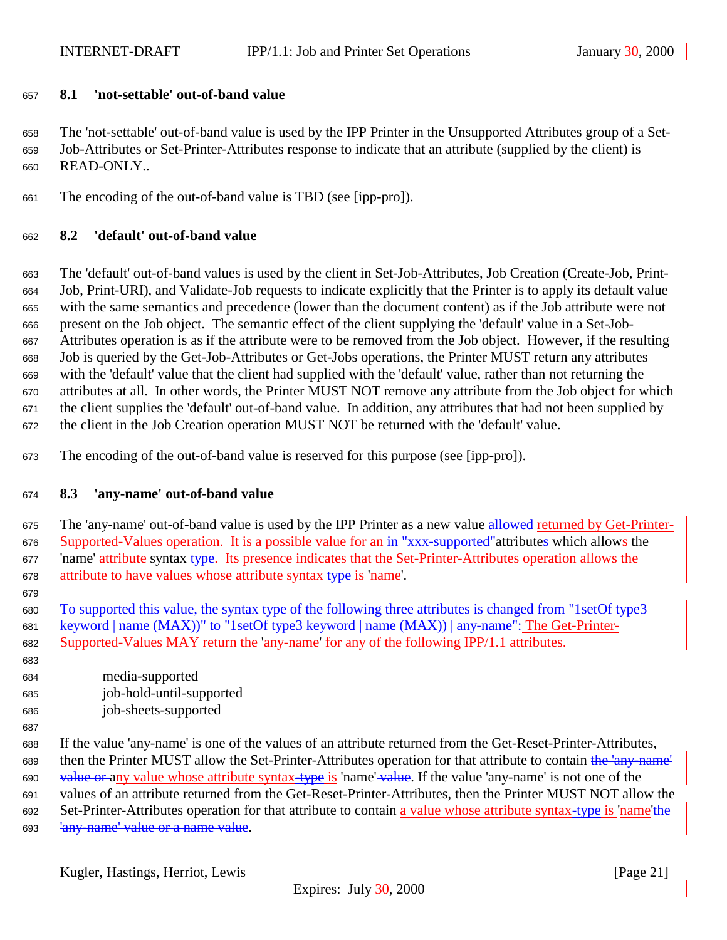# <span id="page-20-0"></span>**8.1 'not-settable' out-of-band value**

 The 'not-settable' out-of-band value is used by the IPP Printer in the Unsupported Attributes group of a Set- Job-Attributes or Set-Printer-Attributes response to indicate that an attribute (supplied by the client) is READ-ONLY..

The encoding of the out-of-band value is TBD (see [ipp-pro]).

# **8.2 'default' out-of-band value**

 The 'default' out-of-band values is used by the client in Set-Job-Attributes, Job Creation (Create-Job, Print- Job, Print-URI), and Validate-Job requests to indicate explicitly that the Printer is to apply its default value with the same semantics and precedence (lower than the document content) as if the Job attribute were not present on the Job object. The semantic effect of the client supplying the 'default' value in a Set-Job- Attributes operation is as if the attribute were to be removed from the Job object. However, if the resulting Job is queried by the Get-Job-Attributes or Get-Jobs operations, the Printer MUST return any attributes with the 'default' value that the client had supplied with the 'default' value, rather than not returning the attributes at all. In other words, the Printer MUST NOT remove any attribute from the Job object for which the client supplies the 'default' out-of-band value. In addition, any attributes that had not been supplied by the client in the Job Creation operation MUST NOT be returned with the 'default' value.

The encoding of the out-of-band value is reserved for this purpose (see [ipp-pro]).

# **8.3 'any-name' out-of-band value**

675 The 'any-name' out-of-band value is used by the IPP Printer as a new value allowed-returned by Get-Printer-676 Supported-Values operation. It is a possible value for an in "xxx-supported" attributes which allows the 677 'name' attribute syntax-type. Its presence indicates that the Set-Printer-Attributes operation allows the attribute to have values whose attribute syntax type is 'name'.

 To supported this value, the syntax type of the following three attributes is changed from "1setOf type3 681 keyword | name (MAX))" to "1setOf type3 keyword | name (MAX)) | any name": The Get-Printer-Supported-Values MAY return the 'any-name' for any of the following IPP/1.1 attributes.

- media-supported job-hold-until-supported job-sheets-supported
- 

 If the value 'any-name' is one of the values of an attribute returned from the Get-Reset-Printer-Attributes, 689 then the Printer MUST allow the Set-Printer-Attributes operation for that attribute to contain the 'any-name' 690 value or any value whose attribute syntax-type is 'name' value. If the value 'any-name' is not one of the values of an attribute returned from the Get-Reset-Printer-Attributes, then the Printer MUST NOT allow the 692 Set-Printer-Attributes operation for that attribute to contain a value whose attribute syntax-type is 'name'the 693 'any name' value or a name value.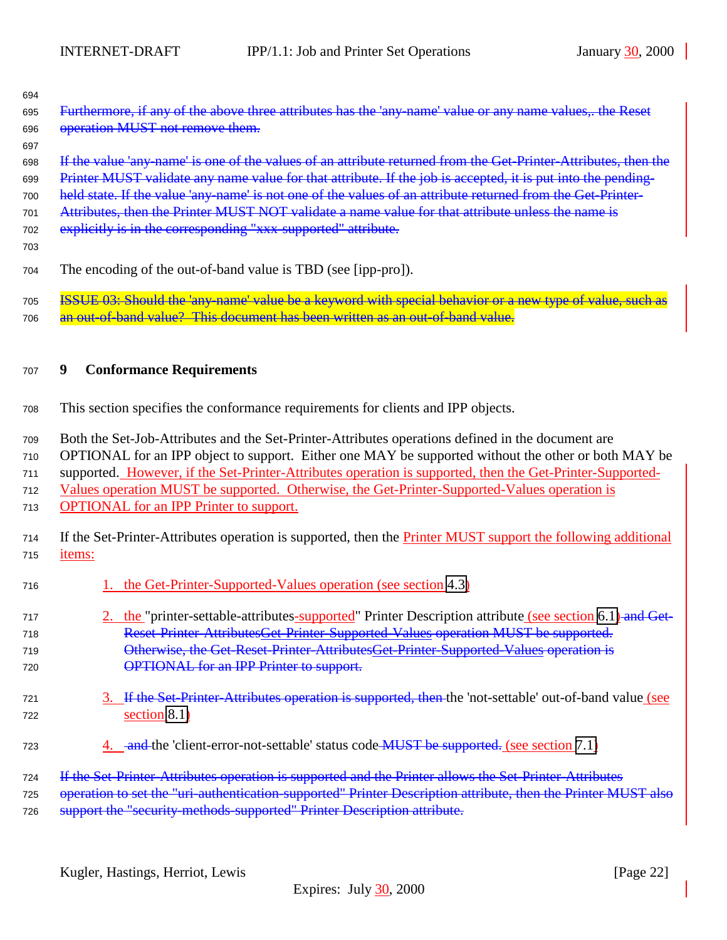<span id="page-21-0"></span>

| 694<br>695<br>696<br>697 | Furthermore, if any of the above three attributes has the 'any-name' value or any name values,. the Reset<br>operation MUST not remove them.                                                                                                                                                                                                                                                                                                        |
|--------------------------|-----------------------------------------------------------------------------------------------------------------------------------------------------------------------------------------------------------------------------------------------------------------------------------------------------------------------------------------------------------------------------------------------------------------------------------------------------|
| 698<br>699<br>700<br>701 | If the value 'any name' is one of the values of an attribute returned from the Get-Printer-Attributes, then the<br>Printer MUST validate any name value for that attribute. If the job is accepted, it is put into the pending-<br>held state. If the value 'any-name' is not one of the values of an attribute returned from the Get-Printer-<br>Attributes, then the Printer MUST NOT validate a name value for that attribute unless the name is |
| 702<br>703               | explicitly is in the corresponding "xxx-supported" attribute.                                                                                                                                                                                                                                                                                                                                                                                       |
| 704                      | The encoding of the out-of-band value is TBD (see [ipp-pro]).                                                                                                                                                                                                                                                                                                                                                                                       |
| 705<br>706               | ISSUE 03: Should the 'any name' value be a keyword with special behavior or a new type of value, such as<br>out of band value? This document has been written as an out of band value.                                                                                                                                                                                                                                                              |
| 707                      | <b>Conformance Requirements</b><br>9                                                                                                                                                                                                                                                                                                                                                                                                                |
| 708                      | This section specifies the conformance requirements for clients and IPP objects.                                                                                                                                                                                                                                                                                                                                                                    |
| 709                      | Both the Set-Job-Attributes and the Set-Printer-Attributes operations defined in the document are                                                                                                                                                                                                                                                                                                                                                   |
| 710                      | OPTIONAL for an IPP object to support. Either one MAY be supported without the other or both MAY be                                                                                                                                                                                                                                                                                                                                                 |
| 711                      | supported. However, if the Set-Printer-Attributes operation is supported, then the Get-Printer-Supported-                                                                                                                                                                                                                                                                                                                                           |
| 712<br>713               | Values operation MUST be supported. Otherwise, the Get-Printer-Supported-Values operation is<br><b>OPTIONAL</b> for an IPP Printer to support.                                                                                                                                                                                                                                                                                                      |
| 714<br>715               | If the Set-Printer-Attributes operation is supported, then the Printer MUST support the following additional<br>items:                                                                                                                                                                                                                                                                                                                              |
| 716                      | 1. the Get-Printer-Supported-Values operation (see section 4.3)                                                                                                                                                                                                                                                                                                                                                                                     |
| 717                      | 2. the "printer-settable-attributes-supported" Printer Description attribute (see section 6.1) and Get-                                                                                                                                                                                                                                                                                                                                             |
| 718                      | Reset Printer AttributesGet Printer Supported Values operation MUST be supported.                                                                                                                                                                                                                                                                                                                                                                   |
| 719                      | Otherwise, the Get Reset Printer AttributesGet Printer Supported Values operation is                                                                                                                                                                                                                                                                                                                                                                |
| 720                      | <b>OPTIONAL</b> for an IPP Printer to support.                                                                                                                                                                                                                                                                                                                                                                                                      |
| 721<br>722               | 3. If the Set-Printer-Attributes operation is supported, then the 'not-settable' out-of-band value (see<br>section 8.1)                                                                                                                                                                                                                                                                                                                             |
| 723                      | 4. and the 'client-error-not-settable' status code <b>MUST</b> be supported. (see section 7.1)                                                                                                                                                                                                                                                                                                                                                      |
| 724                      | If the Set-Printer-Attributes operation is supported and the Printer allows the Set-Printer-Attributes                                                                                                                                                                                                                                                                                                                                              |
| 725                      | operation to set the "uri-authentication-supported" Printer Description attribute, then the Printer MUST also                                                                                                                                                                                                                                                                                                                                       |
| 726                      | support the "security methods supported" Printer Description attribute.                                                                                                                                                                                                                                                                                                                                                                             |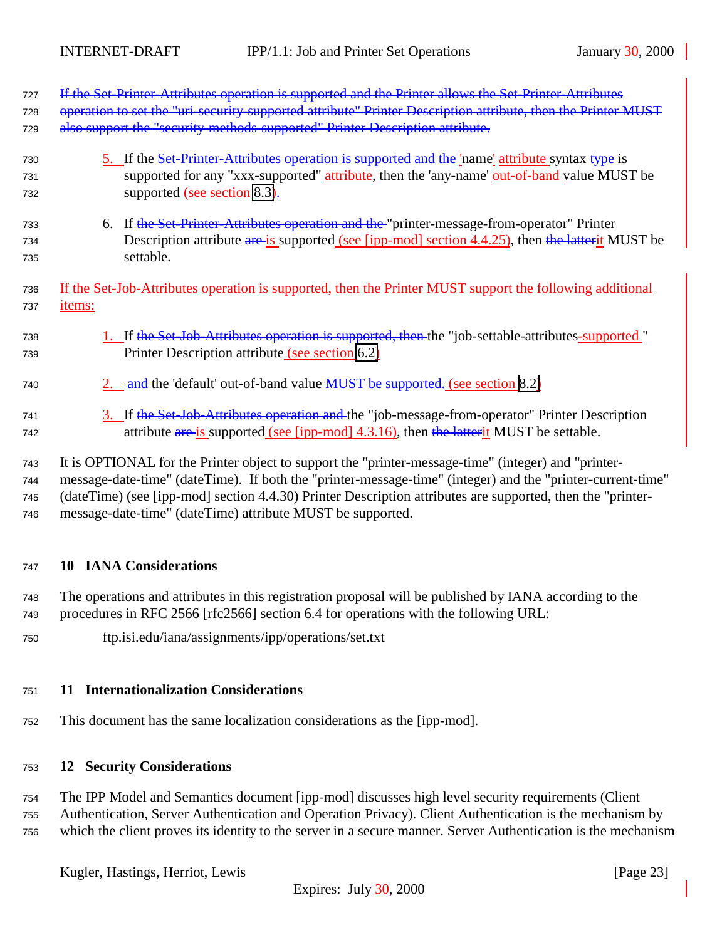<span id="page-22-0"></span>

| 727 | If the Set-Printer-Attributes operation is supported and the Printer allows the Set-Printer-Attributes       |
|-----|--------------------------------------------------------------------------------------------------------------|
| 728 | operation to set the "uri-security-supported attribute" Printer Description attribute, then the Printer MUST |
| 729 | also support the "security-methods-supported" Printer Description attribute.                                 |
| 730 | 5. If the Set-Printer-Attributes operation is supported and the 'name' attribute syntax type is              |
| 731 | supported for any "xxx-supported" attribute, then the 'any-name' out-of-band value MUST be                   |
| 732 | supported (see section 8.3).                                                                                 |
| 733 | 6. If the Set-Printer-Attributes operation and the "printer-message-from-operator" Printer                   |
| 734 | Description attribute are is supported (see [ipp-mod] section 4.4.25), then the latterit MUST be             |
| 735 | settable.                                                                                                    |
| 736 | If the Set-Job-Attributes operation is supported, then the Printer MUST support the following additional     |
| 737 | items:                                                                                                       |
| 738 | 1. If the Set Job-Attributes operation is supported, then the "job-settable-attributes-supported"            |
| 739 | Printer Description attribute (see section 6.2)                                                              |
| 740 | 2. and the 'default' out-of-band value MUST be supported. (see section 8.2)                                  |
| 741 | 3. If the Set-Job-Attributes operation and the "job-message-from-operator" Printer Description               |
| 742 | attribute are is supported (see [ipp-mod] 4.3.16), then the latter it MUST be settable.                      |
| 743 | It is OPTIONAL for the Printer object to support the "printer-message-time" (integer) and "printer-          |
| 744 | message-date-time" (dateTime). If both the "printer-message-time" (integer) and the "printer-current-time"   |
| 745 | (dateTime) (see [ipp-mod] section 4.4.30) Printer Description attributes are supported, then the "printer-   |

<sup>746</sup> message-date-time" (dateTime) attribute MUST be supported.

## <sup>747</sup> **10 IANA Considerations**

<sup>748</sup> The operations and attributes in this registration proposal will be published by IANA according to the <sup>749</sup> procedures in RFC 2566 [rfc2566] section 6.4 for operations with the following URL:

<sup>750</sup> ftp.isi.edu/iana/assignments/ipp/operations/set.txt

## <sup>751</sup> **11 Internationalization Considerations**

<sup>752</sup> This document has the same localization considerations as the [ipp-mod].

## <sup>753</sup> **12 Security Considerations**

<sup>754</sup> The IPP Model and Semantics document [ipp-mod] discusses high level security requirements (Client <sup>755</sup> Authentication, Server Authentication and Operation Privacy). Client Authentication is the mechanism by <sup>756</sup> which the client proves its identity to the server in a secure manner. Server Authentication is the mechanism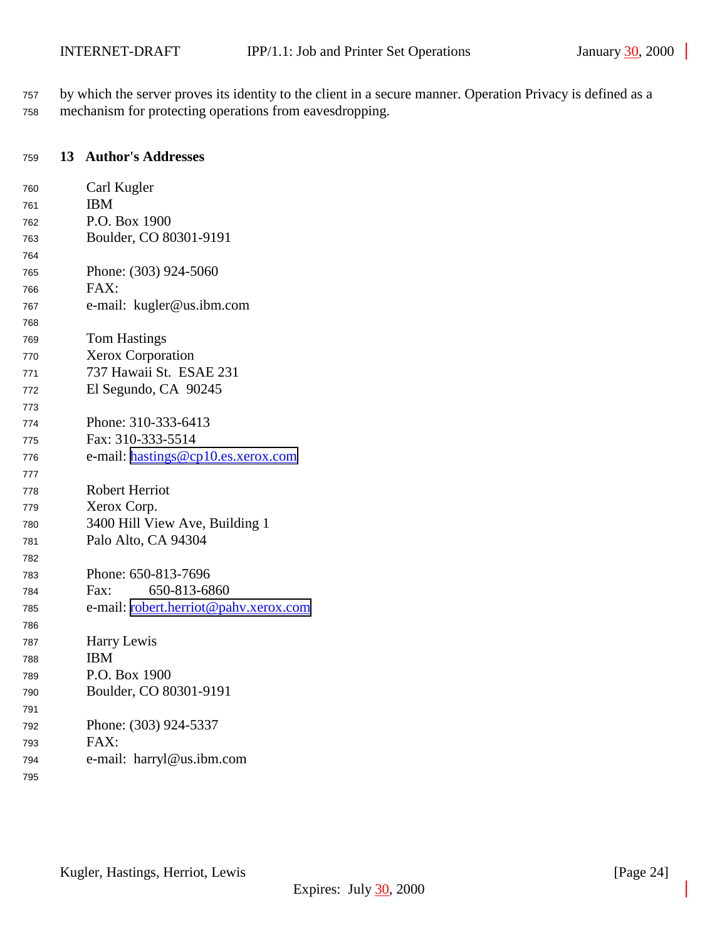<span id="page-23-0"></span> by which the server proves its identity to the client in a secure manner. Operation Privacy is defined as a mechanism for protecting operations from eavesdropping.

#### **13 Author's Addresses**

| 760 | Carl Kugler                           |
|-----|---------------------------------------|
| 761 | <b>IBM</b>                            |
| 762 | P.O. Box 1900                         |
| 763 | Boulder, CO 80301-9191                |
| 764 |                                       |
| 765 | Phone: (303) 924-5060                 |
| 766 | FAX:                                  |
| 767 | e-mail: kugler@us.ibm.com             |
| 768 |                                       |
| 769 | <b>Tom Hastings</b>                   |
| 770 | Xerox Corporation                     |
| 771 | 737 Hawaii St. ESAE 231               |
| 772 | El Segundo, CA 90245                  |
| 773 |                                       |
| 774 | Phone: 310-333-6413                   |
| 775 | Fax: 310-333-5514                     |
| 776 | e-mail: hastings@cp10.es.xerox.com    |
| 777 |                                       |
| 778 | Robert Herriot                        |
| 779 | Xerox Corp.                           |
| 780 | 3400 Hill View Ave, Building 1        |
| 781 | Palo Alto, CA 94304                   |
| 782 |                                       |
| 783 | Phone: 650-813-7696                   |
| 784 | 650-813-6860<br>Fax:                  |
| 785 | e-mail: robert.herriot@pahv.xerox.com |
| 786 |                                       |
| 787 | Harry Lewis                           |
| 788 | <b>IBM</b>                            |
| 789 | P.O. Box 1900                         |
| 790 | Boulder, CO 80301-9191                |
| 791 |                                       |
| 792 | Phone: (303) 924-5337                 |
| 793 | FAX:                                  |
| 794 | e-mail: harryl@us.ibm.com             |
| 795 |                                       |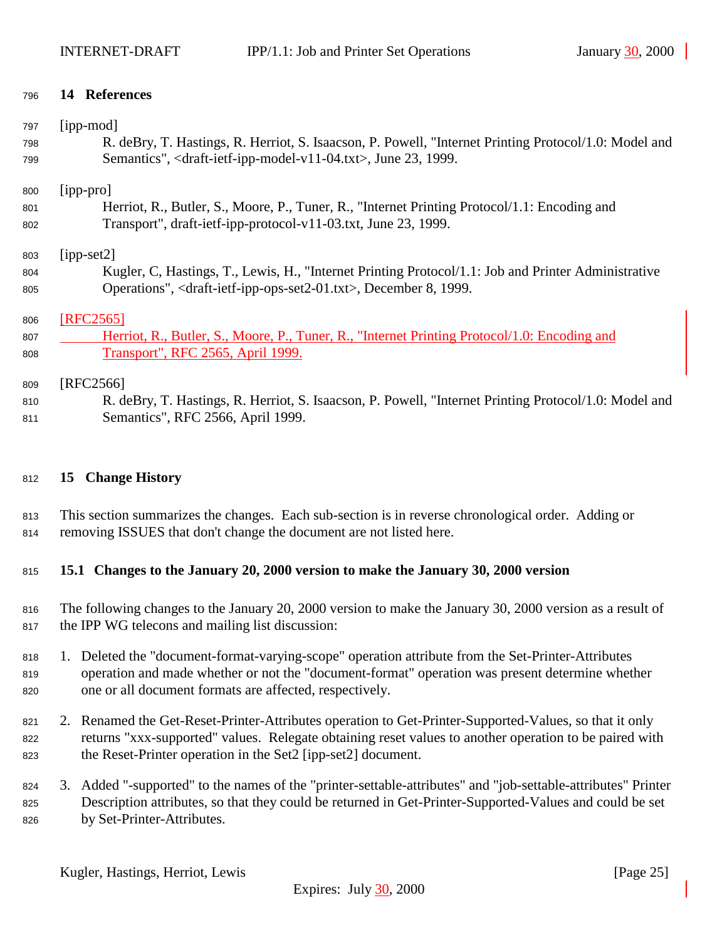# <span id="page-24-0"></span>**14 References**

| 797 | [ipp-mod]                                                                                             |
|-----|-------------------------------------------------------------------------------------------------------|
| 798 | R. deBry, T. Hastings, R. Herriot, S. Isaacson, P. Powell, "Internet Printing Protocol/1.0: Model and |
| 799 | Semantics", <draft-ietf-ipp-model-v11-04.txt>, June 23, 1999.</draft-ietf-ipp-model-v11-04.txt>       |
| 800 | $[ipp-pro]$                                                                                           |
| 801 | Herriot, R., Butler, S., Moore, P., Tuner, R., "Internet Printing Protocol/1.1: Encoding and          |
| 802 | Transport", draft-ietf-ipp-protocol-v11-03.txt, June 23, 1999.                                        |
| 803 | $[ipp-set2]$                                                                                          |
| 804 | Kugler, C, Hastings, T., Lewis, H., "Internet Printing Protocol/1.1: Job and Printer Administrative   |
| 805 | Operations", <draft-ietf-ipp-ops-set2-01.txt>, December 8, 1999.</draft-ietf-ipp-ops-set2-01.txt>     |
| 806 | [RFC2565]                                                                                             |
| 807 | Herriot, R., Butler, S., Moore, P., Tuner, R., "Internet Printing Protocol/1.0: Encoding and          |
| 808 | Transport", RFC 2565, April 1999.                                                                     |
| 809 | [RFC2566]                                                                                             |
| 810 | R. deBry, T. Hastings, R. Herriot, S. Isaacson, P. Powell, "Internet Printing Protocol/1.0: Model and |
| 811 | Semantics", RFC 2566, April 1999.                                                                     |

# **15 Change History**

 This section summarizes the changes. Each sub-section is in reverse chronological order. Adding or removing ISSUES that don't change the document are not listed here.

# **15.1 Changes to the January 20, 2000 version to make the January 30, 2000 version**

- The following changes to the January 20, 2000 version to make the January 30, 2000 version as a result of the IPP WG telecons and mailing list discussion:
- 1. Deleted the "document-format-varying-scope" operation attribute from the Set-Printer-Attributes operation and made whether or not the "document-format" operation was present determine whether one or all document formats are affected, respectively.
- 821 2. Renamed the Get-Reset-Printer-Attributes operation to Get-Printer-Supported-Values, so that it only returns "xxx-supported" values. Relegate obtaining reset values to another operation to be paired with the Reset-Printer operation in the Set2 [ipp-set2] document.
- 3. Added "-supported" to the names of the "printer-settable-attributes" and "job-settable-attributes" Printer Description attributes, so that they could be returned in Get-Printer-Supported-Values and could be set by Set-Printer-Attributes.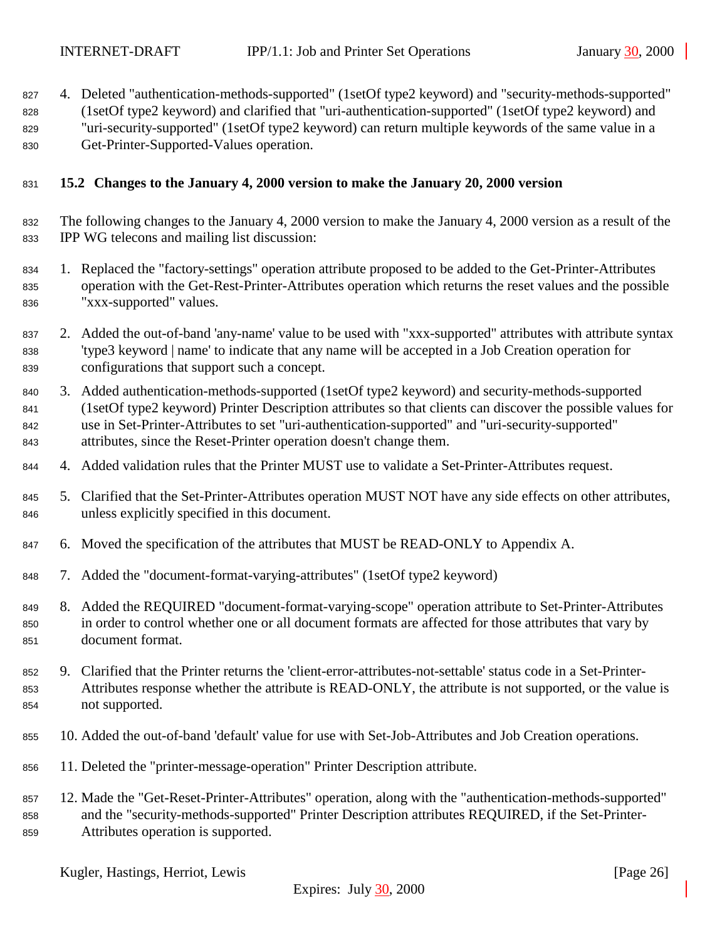- <span id="page-25-0"></span>4. Deleted "authentication-methods-supported" (1setOf type2 keyword) and "security-methods-supported"
- (1setOf type2 keyword) and clarified that "uri-authentication-supported" (1setOf type2 keyword) and "uri-security-supported" (1setOf type2 keyword) can return multiple keywords of the same value in a
- Get-Printer-Supported-Values operation.

# **15.2 Changes to the January 4, 2000 version to make the January 20, 2000 version**

- The following changes to the January 4, 2000 version to make the January 4, 2000 version as a result of the IPP WG telecons and mailing list discussion:
- 1. Replaced the "factory-settings" operation attribute proposed to be added to the Get-Printer-Attributes operation with the Get-Rest-Printer-Attributes operation which returns the reset values and the possible "xxx-supported" values.
- 2. Added the out-of-band 'any-name' value to be used with "xxx-supported" attributes with attribute syntax 'type3 keyword | name' to indicate that any name will be accepted in a Job Creation operation for configurations that support such a concept.
- 3. Added authentication-methods-supported (1setOf type2 keyword) and security-methods-supported (1setOf type2 keyword) Printer Description attributes so that clients can discover the possible values for use in Set-Printer-Attributes to set "uri-authentication-supported" and "uri-security-supported" attributes, since the Reset-Printer operation doesn't change them.
- 4. Added validation rules that the Printer MUST use to validate a Set-Printer-Attributes request.
- 5. Clarified that the Set-Printer-Attributes operation MUST NOT have any side effects on other attributes, unless explicitly specified in this document.
- 6. Moved the specification of the attributes that MUST be READ-ONLY to Appendix A.
- 7. Added the "document-format-varying-attributes" (1setOf type2 keyword)
- 8. Added the REQUIRED "document-format-varying-scope" operation attribute to Set-Printer-Attributes in order to control whether one or all document formats are affected for those attributes that vary by document format.
- 9. Clarified that the Printer returns the 'client-error-attributes-not-settable' status code in a Set-Printer- Attributes response whether the attribute is READ-ONLY, the attribute is not supported, or the value is not supported.
- 10. Added the out-of-band 'default' value for use with Set-Job-Attributes and Job Creation operations.
- 11. Deleted the "printer-message-operation" Printer Description attribute.
- 12. Made the "Get-Reset-Printer-Attributes" operation, along with the "authentication-methods-supported" and the "security-methods-supported" Printer Description attributes REQUIRED, if the Set-Printer-Attributes operation is supported.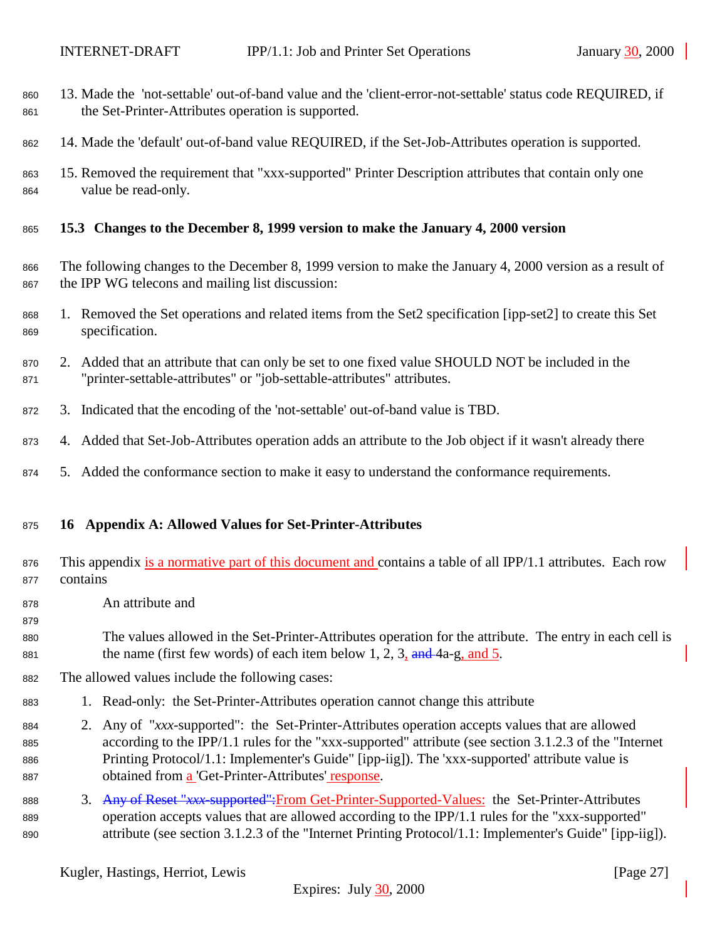- <span id="page-26-0"></span> 13. Made the 'not-settable' out-of-band value and the 'client-error-not-settable' status code REQUIRED, if 861 the Set-Printer-Attributes operation is supported.
- 14. Made the 'default' out-of-band value REQUIRED, if the Set-Job-Attributes operation is supported.
- 15. Removed the requirement that "xxx-supported" Printer Description attributes that contain only one value be read-only.
- **15.3 Changes to the December 8, 1999 version to make the January 4, 2000 version**
- The following changes to the December 8, 1999 version to make the January 4, 2000 version as a result of the IPP WG telecons and mailing list discussion:
- 1. Removed the Set operations and related items from the Set2 specification [ipp-set2] to create this Set specification.
- 2. Added that an attribute that can only be set to one fixed value SHOULD NOT be included in the "printer-settable-attributes" or "job-settable-attributes" attributes.
- 3. Indicated that the encoding of the 'not-settable' out-of-band value is TBD.
- 4. Added that Set-Job-Attributes operation adds an attribute to the Job object if it wasn't already there
- 5. Added the conformance section to make it easy to understand the conformance requirements.

#### **16 Appendix A: Allowed Values for Set-Printer-Attributes**

- 876 This appendix is a normative part of this document and contains a table of all IPP/1.1 attributes. Each row contains
- An attribute and

- The values allowed in the Set-Printer-Attributes operation for the attribute. The entry in each cell is 881 the name (first few words) of each item below 1, 2, 3,  $\frac{and}{4}$  4a-g, and 5.
- The allowed values include the following cases:
- 1. Read-only: the Set-Printer-Attributes operation cannot change this attribute
- 2. Any of "*xxx*-supported": the Set-Printer-Attributes operation accepts values that are allowed according to the IPP/1.1 rules for the "xxx-supported" attribute (see section 3.1.2.3 of the "Internet Printing Protocol/1.1: Implementer's Guide" [ipp-iig]). The 'xxx-supported' attribute value is obtained from a 'Get-Printer-Attributes' response.
- 3. Any of Reset "*xxx*-supported":From Get-Printer-Supported-Values: the Set-Printer-Attributes operation accepts values that are allowed according to the IPP/1.1 rules for the "xxx-supported" attribute (see section 3.1.2.3 of the "Internet Printing Protocol/1.1: Implementer's Guide" [ipp-iig]).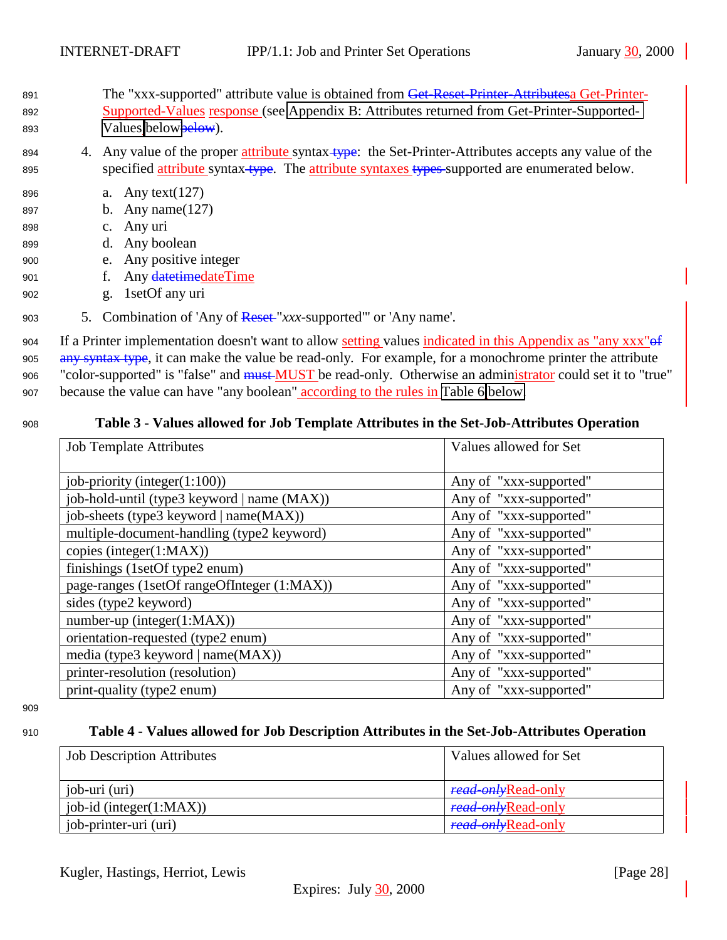- <span id="page-27-0"></span>891 The "xxx-supported" attribute value is obtained from Get-Reset-Printer-Attributesa Get-Printer-892 Supported-Values response (see [Appendix B: Attributes returned from Get-Printer-Supported-](#page-30-0)893 [Values](#page-30-0) [belowb](#page-30-0)elow).
- 894 4. Any value of the proper attribute syntax-type: the Set-Printer-Attributes accepts any value of the 895 specified attribute syntax-type. The attribute syntaxes types supported are enumerated below.
- <sup>896</sup> a. Any text(127)
- <sup>897</sup> b. Any name(127)
- <sup>898</sup> c. Any uri
- <sup>899</sup> d. Any boolean
- <sup>900</sup> e. Any positive integer
- 901 f. Any date time date Time
- <sup>902</sup> g. 1setOf any uri
- <sup>903</sup> 5. Combination of 'Any of Reset "*xxx*-supported"' or 'Any name'.

904 If a Printer implementation doesn't want to allow setting values indicated in this Appendix as "any xxx" 905 any syntax type, it can make the value be read-only. For example, for a monochrome printer the attribute <sup>906</sup> "color-supported" is "false" and must MUST be read-only. Otherwise an administrator could set it to "true" <sup>907</sup> because the value can have "any boolean" according to the rules in [Table 6](#page-29-0) [below.](#page-29-0)

### <sup>908</sup> **Table 3 - Values allowed for Job Template Attributes in the Set-Job-Attributes Operation**

| <b>Job Template Attributes</b>              | Values allowed for Set |
|---------------------------------------------|------------------------|
| job-priority (integer $(1:100)$ )           | Any of "xxx-supported" |
| job-hold-until (type3 keyword   name (MAX)) | Any of "xxx-supported" |
| job-sheets (type3 keyword   name(MAX))      | Any of "xxx-supported" |
| multiple-document-handling (type2 keyword)  | Any of "xxx-supported" |
| copies (integer(1:MAX))                     | Any of "xxx-supported" |
| finishings (1setOf type2 enum)              | Any of "xxx-supported" |
| page-ranges (1setOf rangeOfInteger (1:MAX)) | Any of "xxx-supported" |
| sides (type2 keyword)                       | Any of "xxx-supported" |
| $number-up (integer(1:MAX))$                | Any of "xxx-supported" |
| orientation-requested (type2 enum)          | Any of "xxx-supported" |
| media (type3 keyword   name(MAX))           | Any of "xxx-supported" |
| printer-resolution (resolution)             | Any of "xxx-supported" |
| print-quality (type2 enum)                  | Any of "xxx-supported" |

909

# <sup>910</sup> **Table 4 - Values allowed for Job Description Attributes in the Set-Job-Attributes Operation**

| <b>Job Description Attributes</b> | Values allowed for Set     |
|-----------------------------------|----------------------------|
|                                   |                            |
| job-uri (uri)                     | <i>read-only</i> Read-only |
| $job-id$ (integer(1:MAX))         | <i>read-onl</i> Read-only  |
| job-printer-uri (uri)             | read only Read-only        |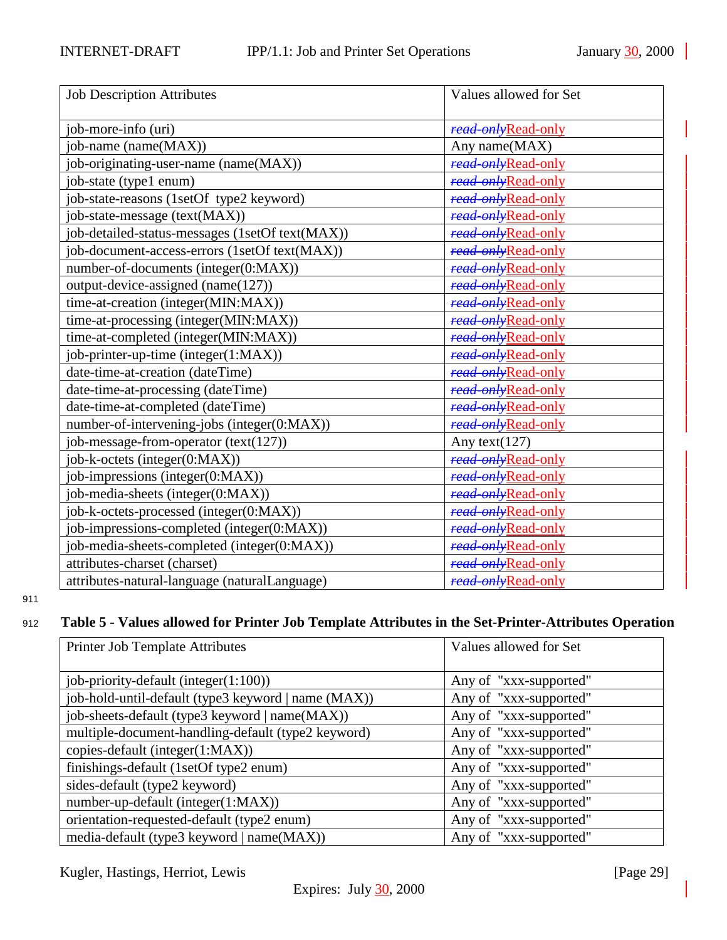<span id="page-28-0"></span>

| <b>Job Description Attributes</b>               | Values allowed for Set |
|-------------------------------------------------|------------------------|
|                                                 |                        |
| job-more-info (uri)                             | read-onlyRead-only     |
| job-name (name(MAX))                            | Any name(MAX)          |
| job-originating-user-name (name(MAX))           | read-onlyRead-only     |
| job-state (type1 enum)                          | read onlyRead-only     |
| job-state-reasons (1setOf type2 keyword)        | read-onlyRead-only     |
| job-state-message (text(MAX))                   | read-onlyRead-only     |
| job-detailed-status-messages (1setOf text(MAX)) | read only Read-only    |
| job-document-access-errors (1setOf text(MAX))   | read-onlyRead-only     |
| number-of-documents (integer(0:MAX))            | read only Read-only    |
| output-device-assigned (name(127))              | read-onlyRead-only     |
| time-at-creation (integer(MIN:MAX))             | read-onlyRead-only     |
| time-at-processing (integer(MIN:MAX))           | read-onlyRead-only     |
| time-at-completed (integer(MIN:MAX))            | read-onlyRead-only     |
| job-printer-up-time (integer(1:MAX))            | read-onlyRead-only     |
| date-time-at-creation (dateTime)                | read-onlyRead-only     |
| date-time-at-processing (dateTime)              | read-onlyRead-only     |
| date-time-at-completed (dateTime)               | read-onlyRead-only     |
| number-of-intervening-jobs (integer(0:MAX))     | read-onlyRead-only     |
| job-message-from-operator (text(127))           | Any text( $127$ )      |
| job-k-octets (integer(0:MAX))                   | read-onlyRead-only     |
| job-impressions (integer(0:MAX))                | read-onlyRead-only     |
| job-media-sheets (integer(0:MAX))               | read-onlyRead-only     |
| job-k-octets-processed (integer(0:MAX))         | read onlyRead-only     |
| job-impressions-completed (integer(0:MAX))      | read only Read-only    |
| job-media-sheets-completed (integer(0:MAX))     | read only Read-only    |
| attributes-charset (charset)                    | read onlyRead-only     |
| attributes-natural-language (naturalLanguage)   | read onlyRead-only     |

# <sup>912</sup> **Table 5 - Values allowed for Printer Job Template Attributes in the Set-Printer-Attributes Operation**

| Printer Job Template Attributes                     | Values allowed for Set |
|-----------------------------------------------------|------------------------|
| job-priority-default (integer $(1:100)$ )           | Any of "xxx-supported" |
| job-hold-until-default (type3 keyword   name (MAX)) | Any of "xxx-supported" |
| job-sheets-default (type3 keyword   name(MAX))      | Any of "xxx-supported" |
| multiple-document-handling-default (type2 keyword)  | Any of "xxx-supported" |
| copies-default (integer(1:MAX))                     | Any of "xxx-supported" |
| finishings-default (1setOf type2 enum)              | Any of "xxx-supported" |
| sides-default (type2 keyword)                       | Any of "xxx-supported" |
| number-up-default (integer(1:MAX))                  | Any of "xxx-supported" |
| orientation-requested-default (type2 enum)          | Any of "xxx-supported" |
| media-default (type3 keyword   name(MAX))           | Any of "xxx-supported" |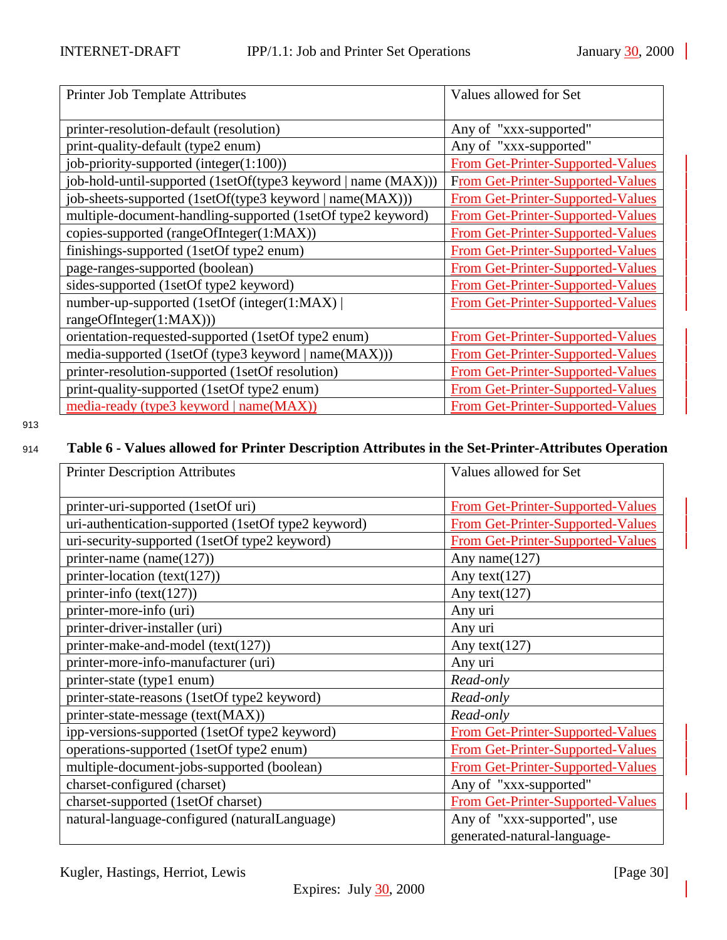<span id="page-29-0"></span>

| Printer Job Template Attributes                               | Values allowed for Set                   |
|---------------------------------------------------------------|------------------------------------------|
| printer-resolution-default (resolution)                       | Any of "xxx-supported"                   |
| print-quality-default (type2 enum)                            | Any of "xxx-supported"                   |
| job-priority-supported (integer(1:100))                       | From Get-Printer-Supported-Values        |
| job-hold-until-supported (1setOf(type3 keyword   name (MAX))) | From Get-Printer-Supported-Values        |
| job-sheets-supported (1setOf(type3 keyword   name(MAX)))      | From Get-Printer-Supported-Values        |
| multiple-document-handling-supported (1setOf type2 keyword)   | From Get-Printer-Supported-Values        |
| copies-supported (rangeOfInteger(1:MAX))                      | From Get-Printer-Supported-Values        |
| finishings-supported (1setOf type2 enum)                      | From Get-Printer-Supported-Values        |
| page-ranges-supported (boolean)                               | From Get-Printer-Supported-Values        |
| sides-supported (1setOf type2 keyword)                        | <b>From Get-Printer-Supported-Values</b> |
| number-up-supported (1setOf (integer(1:MAX))                  | <b>From Get-Printer-Supported-Values</b> |
| rangeOfInteger(1:MAX)))                                       |                                          |
| orientation-requested-supported (1setOf type2 enum)           | From Get-Printer-Supported-Values        |
| media-supported (1setOf (type3 keyword   name(MAX)))          | From Get-Printer-Supported-Values        |
| printer-resolution-supported (1setOf resolution)              | From Get-Printer-Supported-Values        |
| print-quality-supported (1setOf type2 enum)                   | From Get-Printer-Supported-Values        |
| media-ready (type3 keyword   name(MAX))                       | <b>From Get-Printer-Supported-Values</b> |

# <sup>914</sup> **Table 6 - Values allowed for Printer Description Attributes in the Set-Printer-Attributes Operation**

| <b>Printer Description Attributes</b>               | Values allowed for Set                   |
|-----------------------------------------------------|------------------------------------------|
|                                                     |                                          |
| printer-uri-supported (1setOf uri)                  | <b>From Get-Printer-Supported-Values</b> |
| uri-authentication-supported (1setOf type2 keyword) | From Get-Printer-Supported-Values        |
| uri-security-supported (1setOf type2 keyword)       | From Get-Printer-Supported-Values        |
| printer-name (name $(127)$ )                        | Any name $(127)$                         |
| printer-location (text(127))                        | Any text $(127)$                         |
| printer-info $(text(127))$                          | Any text $(127)$                         |
| printer-more-info (uri)                             | Any uri                                  |
| printer-driver-installer (uri)                      | Any uri                                  |
| printer-make-and-model (text(127))                  | Any text $(127)$                         |
| printer-more-info-manufacturer (uri)                | Any uri                                  |
| printer-state (type1 enum)                          | Read-only                                |
| printer-state-reasons (1setOf type2 keyword)        | Read-only                                |
| printer-state-message (text(MAX))                   | Read-only                                |
| ipp-versions-supported (1setOf type2 keyword)       | From Get-Printer-Supported-Values        |
| operations-supported (1setOf type2 enum)            | From Get-Printer-Supported-Values        |
| multiple-document-jobs-supported (boolean)          | From Get-Printer-Supported-Values        |
| charset-configured (charset)                        | Any of "xxx-supported"                   |
| charset-supported (1setOf charset)                  | From Get-Printer-Supported-Values        |
| natural-language-configured (naturalLanguage)       | Any of "xxx-supported", use              |
|                                                     | generated-natural-language-              |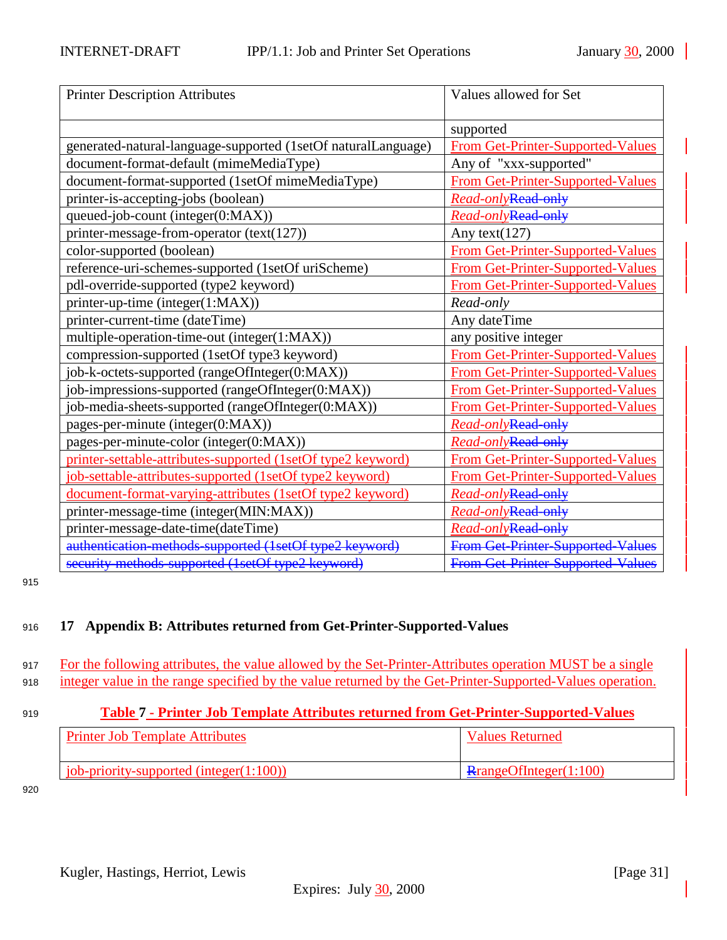<span id="page-30-0"></span>

| <b>Printer Description Attributes</b>                         | Values allowed for Set                   |
|---------------------------------------------------------------|------------------------------------------|
|                                                               |                                          |
|                                                               | supported                                |
| generated-natural-language-supported (1setOf naturalLanguage) | From Get-Printer-Supported-Values        |
| document-format-default (mimeMediaType)                       | Any of "xxx-supported"                   |
| document-format-supported (1setOf mimeMediaType)              | <b>From Get-Printer-Supported-Values</b> |
| printer-is-accepting-jobs (boolean)                           | Read-onlyRead-only                       |
| queued-job-count (integer(0:MAX))                             | Read-onlyRead-only                       |
| printer-message-from-operator (text(127))                     | Any text $(127)$                         |
| color-supported (boolean)                                     | From Get-Printer-Supported-Values        |
| reference-uri-schemes-supported (1setOf uriScheme)            | From Get-Printer-Supported-Values        |
| pdl-override-supported (type2 keyword)                        | From Get-Printer-Supported-Values        |
| printer-up-time (integer(1:MAX))                              | Read-only                                |
| printer-current-time (dateTime)                               | Any dateTime                             |
| multiple-operation-time-out (integer(1:MAX))                  | any positive integer                     |
| compression-supported (1setOf type3 keyword)                  | From Get-Printer-Supported-Values        |
| job-k-octets-supported (rangeOfInteger(0:MAX))                | From Get-Printer-Supported-Values        |
| job-impressions-supported (rangeOfInteger(0:MAX))             | <b>From Get-Printer-Supported-Values</b> |
| job-media-sheets-supported (rangeOfInteger(0:MAX))            | <b>From Get-Printer-Supported-Values</b> |
| pages-per-minute (integer(0:MAX))                             | Read-onlyRead-only                       |
| pages-per-minute-color (integer(0:MAX))                       | Read-onlyRead-only                       |
| printer-settable-attributes-supported (1setOf type2 keyword)  | From Get-Printer-Supported-Values        |
| job-settable-attributes-supported (1setOf type2 keyword)      | <b>From Get-Printer-Supported-Values</b> |
| document-format-varying-attributes (1setOf type2 keyword)     | Read-onlyRead-only                       |
| printer-message-time (integer(MIN:MAX))                       | Read-onlyRead-only                       |
| printer-message-date-time(dateTime)                           | Read-onlyRead-only                       |
| authentication methods supported (1setOf type2 keyword)       | <b>From Get Printer Supported Values</b> |
| security methods supported (1setOf type2 keyword)             | <b>From Get Printer Supported Values</b> |

# <sup>916</sup> **17 Appendix B: Attributes returned from Get-Printer-Supported-Values**

917 For the following attributes, the value allowed by the Set-Printer-Attributes operation MUST be a single <sup>918</sup> integer value in the range specified by the value returned by the Get-Printer-Supported-Values operation.

## <sup>919</sup> **Table 7 - Printer Job Template Attributes returned from Get-Printer-Supported-Values**

| <b>Printer Job Template Attributes</b>         | Values Returned                |
|------------------------------------------------|--------------------------------|
| <u>iob-priority-supported</u> (integer(1:100)) | $\text{RangeOfInteger}(1:100)$ |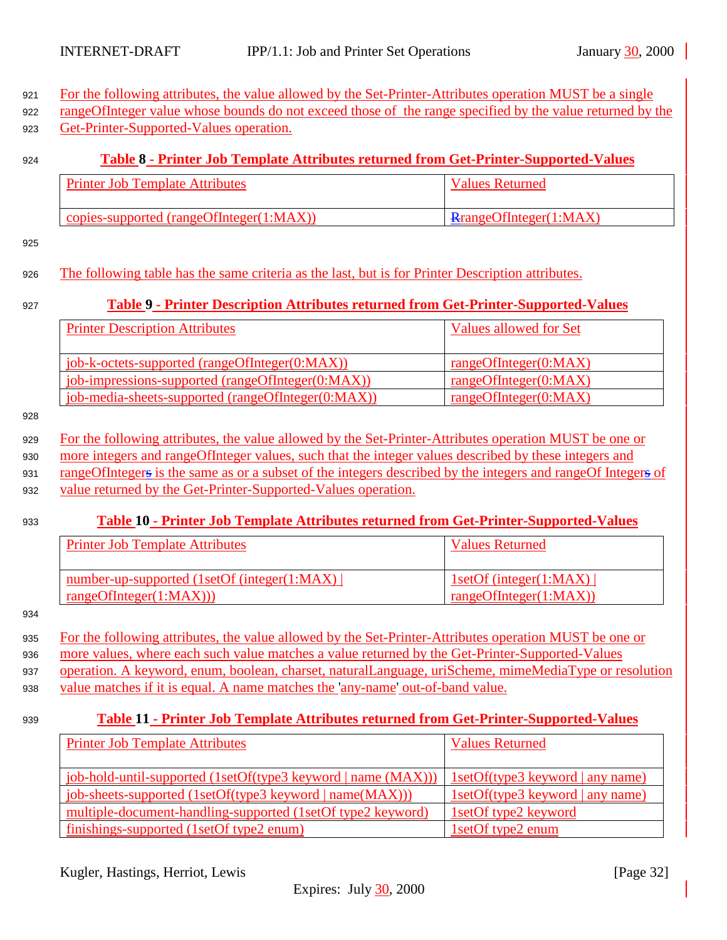<span id="page-31-0"></span>

| For the following attributes, the value allowed by the Set-Printer-Attributes operation MUST be a single<br>rangeOfInteger value whose bounds do not exceed those of the range specified by the value returned by the |                                         |  |
|-----------------------------------------------------------------------------------------------------------------------------------------------------------------------------------------------------------------------|-----------------------------------------|--|
| Get-Printer-Supported-Values operation.                                                                                                                                                                               |                                         |  |
|                                                                                                                                                                                                                       |                                         |  |
| Table 8 - Printer Job Template Attributes returned from Get-Printer-Supported-Values                                                                                                                                  |                                         |  |
| <b>Printer Job Template Attributes</b>                                                                                                                                                                                | <b>Values Returned</b>                  |  |
|                                                                                                                                                                                                                       |                                         |  |
| copies-supported (rangeOfInteger(1:MAX))                                                                                                                                                                              | RrangeOfInteger(1:MAX)                  |  |
|                                                                                                                                                                                                                       |                                         |  |
|                                                                                                                                                                                                                       |                                         |  |
| The following table has the same criteria as the last, but is for Printer Description attributes.                                                                                                                     |                                         |  |
| Table 9 - Printer Description Attributes returned from Get-Printer-Supported-Values                                                                                                                                   |                                         |  |
|                                                                                                                                                                                                                       |                                         |  |
| <b>Printer Description Attributes</b>                                                                                                                                                                                 | <b>Values allowed for Set</b>           |  |
|                                                                                                                                                                                                                       |                                         |  |
| job-k-octets-supported (rangeOfInteger(0:MAX))                                                                                                                                                                        | rangeOfInteger(0:MAX)                   |  |
| job-impressions-supported (rangeOfInteger(0:MAX))                                                                                                                                                                     | rangeOfInteger(0:MAX)                   |  |
| job-media-sheets-supported (rangeOfInteger(0:MAX))                                                                                                                                                                    | rangeOfInteger(0:MAX)                   |  |
|                                                                                                                                                                                                                       |                                         |  |
| For the following attributes, the value allowed by the Set-Printer-Attributes operation MUST be one or                                                                                                                |                                         |  |
| more integers and rangeOfInteger values, such that the integer values described by these integers and                                                                                                                 |                                         |  |
| rangeOfIntegers is the same as or a subset of the integers described by the integers and rangeOf Integers of                                                                                                          |                                         |  |
| value returned by the Get-Printer-Supported-Values operation.                                                                                                                                                         |                                         |  |
|                                                                                                                                                                                                                       |                                         |  |
| Table 10 - Printer Job Template Attributes returned from Get-Printer-Supported-Values                                                                                                                                 |                                         |  |
| <b>Printer Job Template Attributes</b>                                                                                                                                                                                | <b>Values Returned</b>                  |  |
|                                                                                                                                                                                                                       |                                         |  |
| number-up-supported (1setOf (integer(1:MAX)                                                                                                                                                                           | 1setOf (integer(1:MAX))                 |  |
| rangeOfInteger(1:MAX))                                                                                                                                                                                                | rangeOfInteger(1:MAX)                   |  |
|                                                                                                                                                                                                                       |                                         |  |
| For the following attributes, the value allowed by the Set-Printer-Attributes operation MUST be one or                                                                                                                |                                         |  |
| more values, where each such value matches a value returned by the Get-Printer-Supported-Values                                                                                                                       |                                         |  |
| operation. A keyword, enum, boolean, charset, naturalLanguage, uriScheme, mimeMediaType or resolution                                                                                                                 |                                         |  |
| value matches if it is equal. A name matches the 'any-name' out-of-band value.                                                                                                                                        |                                         |  |
|                                                                                                                                                                                                                       |                                         |  |
| <b>Table 11 - Printer Job Template Attributes returned from Get-Printer-Supported-Values</b>                                                                                                                          |                                         |  |
| <b>Printer Job Template Attributes</b>                                                                                                                                                                                | <b>Values Returned</b>                  |  |
|                                                                                                                                                                                                                       |                                         |  |
| job-hold-until-supported (1setOf(type3 keyword   name (MAX)))                                                                                                                                                         | 1setOf(type3 keyword   any name)        |  |
|                                                                                                                                                                                                                       |                                         |  |
| job-sheets-supported (1setOf(type3 keyword   name(MAX)))                                                                                                                                                              | <u>1setOf(type3 keyword   any name)</u> |  |

Kugler, Hastings, Herriot, Lewis [Page 32]

finishings-supported (1setOf type2 enum) 1setOf type2 enum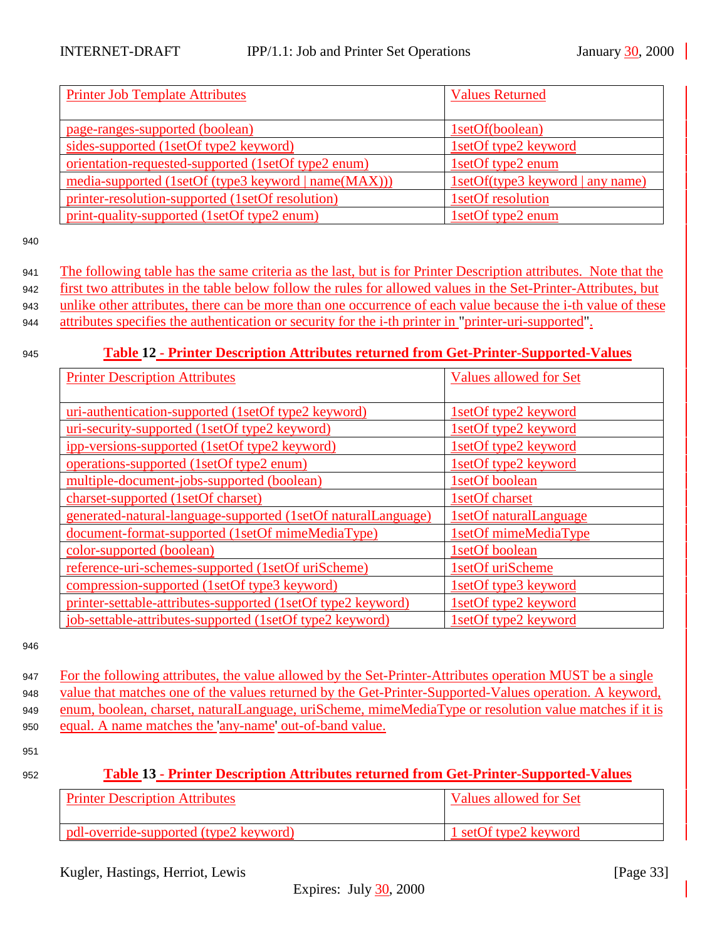<span id="page-32-0"></span>

| <b>Printer Job Template Attributes</b>               | <b>Values Returned</b>           |
|------------------------------------------------------|----------------------------------|
|                                                      |                                  |
| page-ranges-supported (boolean)                      | 1setOf(boolean)                  |
| sides-supported (1setOf type2 keyword)               | 1setOf type2 keyword             |
| orientation-requested-supported (1setOf type2 enum)  | 1setOf type2 enum                |
| media-supported (1setOf (type3 keyword   name(MAX))) | 1setOf(type3 keyword   any name) |
| printer-resolution-supported (1setOf resolution)     | 1setOf resolution                |
| print-quality-supported (1setOf type2 enum)          | 1setOf type2 enum                |

 The following table has the same criteria as the last, but is for Printer Description attributes. Note that the first two attributes in the table below follow the rules for allowed values in the Set-Printer-Attributes, but unlike other attributes, there can be more than one occurrence of each value because the i-th value of these attributes specifies the authentication or security for the i-th printer in "printer-uri-supported".

<sup>945</sup> **Table 12 - Printer Description Attributes returned from Get-Printer-Supported-Values**

| <b>Printer Description Attributes</b>                         | <b>Values allowed for Set</b> |
|---------------------------------------------------------------|-------------------------------|
|                                                               |                               |
| uri-authentication-supported (1setOf type2 keyword)           | 1setOf type2 keyword          |
| uri-security-supported (1setOf type2 keyword)                 | 1setOf type2 keyword          |
| ipp-versions-supported (1setOf type2 keyword)                 | 1setOf type2 keyword          |
| operations-supported (1setOf type2 enum)                      | 1setOf type2 keyword          |
| multiple-document-jobs-supported (boolean)                    | 1setOf boolean                |
| charset-supported (1setOf charset)                            | 1setOf charset                |
| generated-natural-language-supported (1setOf naturalLanguage) | 1setOf naturalLanguage        |
| document-format-supported (1setOf mimeMediaType)              | 1setOf mimeMediaType          |
| color-supported (boolean)                                     | 1setOf boolean                |
| reference-uri-schemes-supported (1setOf uriScheme)            | 1setOf uriScheme              |
| compression-supported (1setOf type3 keyword)                  | 1setOf type3 keyword          |
| printer-settable-attributes-supported (1setOf type2 keyword)  | 1setOf type2 keyword          |
| job-settable-attributes-supported (1setOf type2 keyword)      | 1setOf type2 keyword          |

946

 For the following attributes, the value allowed by the Set-Printer-Attributes operation MUST be a single value that matches one of the values returned by the Get-Printer-Supported-Values operation. A keyword, enum, boolean, charset, naturalLanguage, uriScheme, mimeMediaType or resolution value matches if it is equal. A name matches the 'any-name' out-of-band value.

| 952 |  |  | <b>Table 13 - Printer Description Attributes returned from Get-Printer-Supported-Values</b> |
|-----|--|--|---------------------------------------------------------------------------------------------|
|     |  |  |                                                                                             |

| <b>Printer Description Attributes</b>  | Values allowed for Set |
|----------------------------------------|------------------------|
| pdl-override-supported (type2 keyword) | 1 setOf type2 keyword  |